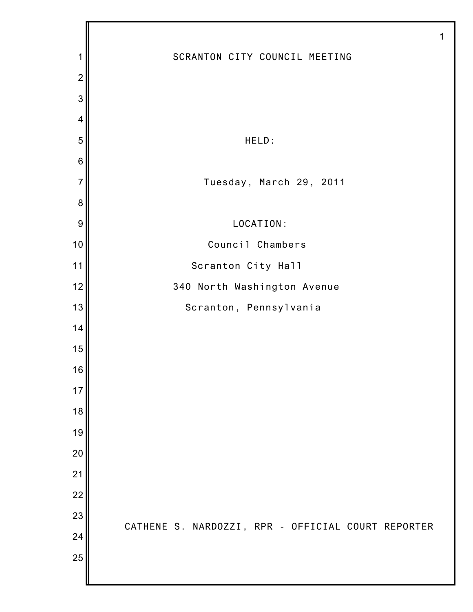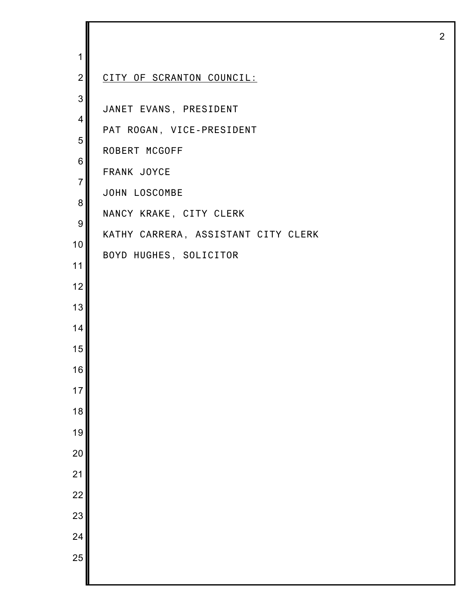| 1                   |                                                                      |
|---------------------|----------------------------------------------------------------------|
| $\overline{2}$      | CITY OF SCRANTON COUNCIL:                                            |
| 3<br>4<br>5<br>6    | JANET EVANS, PRESIDENT<br>PAT ROGAN, VICE-PRESIDENT<br>ROBERT MCGOFF |
| $\overline{7}$<br>8 | FRANK JOYCE<br>JOHN LOSCOMBE<br>NANCY KRAKE, CITY CLERK              |
| 9<br>10<br>11       | KATHY CARRERA, ASSISTANT CITY CLERK<br>BOYD HUGHES, SOLICITOR        |
| 12<br>13            |                                                                      |
| 14<br>15            |                                                                      |
| 16                  |                                                                      |
| 17                  |                                                                      |
| 18<br>19            |                                                                      |
| 20                  |                                                                      |
| $\overline{21}$     |                                                                      |
| $\overline{22}$     |                                                                      |
| 23                  |                                                                      |
| 24<br>25            |                                                                      |
|                     |                                                                      |

I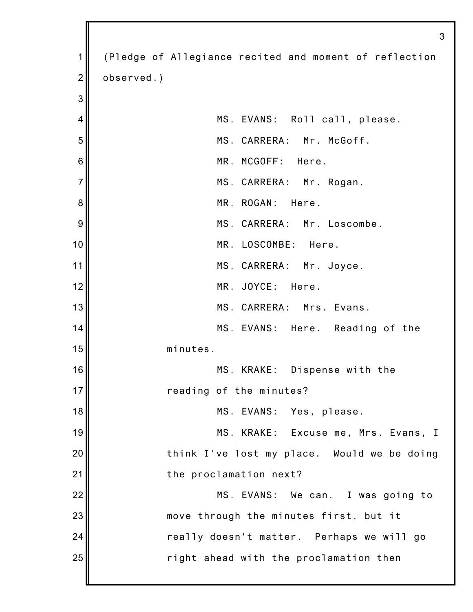|                | 3                                                      |
|----------------|--------------------------------------------------------|
| 1              | (Pledge of Allegiance recited and moment of reflection |
| $\overline{2}$ | observed.)                                             |
| 3              |                                                        |
| $\overline{4}$ | MS. EVANS: Roll call, please.                          |
| 5              | MS. CARRERA: Mr. McGoff.                               |
| 6              | MR. MCGOFF: Here.                                      |
| $\overline{7}$ | MS. CARRERA: Mr. Rogan.                                |
| 8              | MR. ROGAN: Here.                                       |
| 9              | MS. CARRERA: Mr. Loscombe.                             |
| 10             | MR. LOSCOMBE: Here.                                    |
| 11             | MS. CARRERA: Mr. Joyce.                                |
| 12             | MR. JOYCE: Here.                                       |
| 13             | MS. CARRERA: Mrs. Evans.                               |
| 14             | MS. EVANS: Here. Reading of the                        |
| 15             | minutes.                                               |
| 16             | MS. KRAKE: Dispense with the                           |
| 17             | reading of the minutes?                                |
| 18             | MS. EVANS: Yes, please.                                |
| 19             | MS. KRAKE: Excuse me, Mrs. Evans, I                    |
| 20             | think I've lost my place. Would we be doing            |
| 21             | the proclamation next?                                 |
| 22             | MS. EVANS: We can. I was going to                      |
| 23             | move through the minutes first, but it                 |
| 24             | really doesn't matter. Perhaps we will go              |
| 25             | right ahead with the proclamation then                 |
|                |                                                        |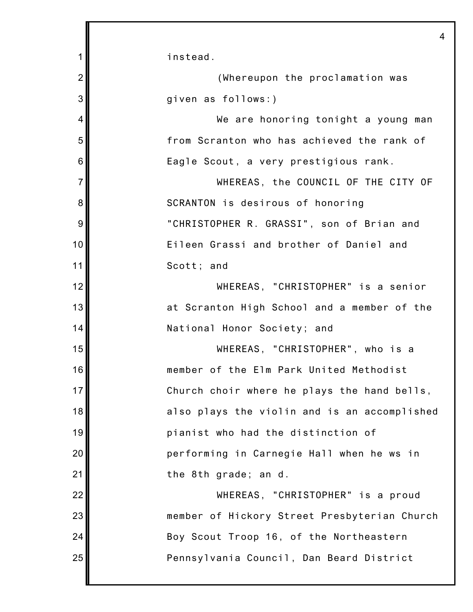|                | 4                                            |
|----------------|----------------------------------------------|
| 1              | instead.                                     |
| $\overline{2}$ | (Whereupon the proclamation was              |
| 3              | given as follows:)                           |
| $\overline{4}$ | We are honoring tonight a young man          |
| 5              | from Scranton who has achieved the rank of   |
| 6              | Eagle Scout, a very prestigious rank.        |
| $\overline{7}$ | WHEREAS, the COUNCIL OF THE CITY OF          |
| 8              | SCRANTON is desirous of honoring             |
| 9              | "CHRISTOPHER R. GRASSI", son of Brian and    |
| 10             | Eileen Grassi and brother of Daniel and      |
| 11             | Scott; and                                   |
| 12             | WHEREAS, "CHRISTOPHER" is a senior           |
| 13             | at Scranton High School and a member of the  |
| 14             | National Honor Society; and                  |
| 15             | WHEREAS, "CHRISTOPHER", who is a             |
| 16             | member of the Elm Park United Methodist      |
| 17             | Church choir where he plays the hand bells,  |
| 18             | also plays the violin and is an accomplished |
| 19             | pianist who had the distinction of           |
| 20             | performing in Carnegie Hall when he ws in    |
| 21             | the 8th grade; an d.                         |
| 22             | WHEREAS, "CHRISTOPHER" is a proud            |
| 23             | member of Hickory Street Presbyterian Church |
| 24             | Boy Scout Troop 16, of the Northeastern      |
| 25             | Pennsylvania Council, Dan Beard District     |
|                |                                              |

Ш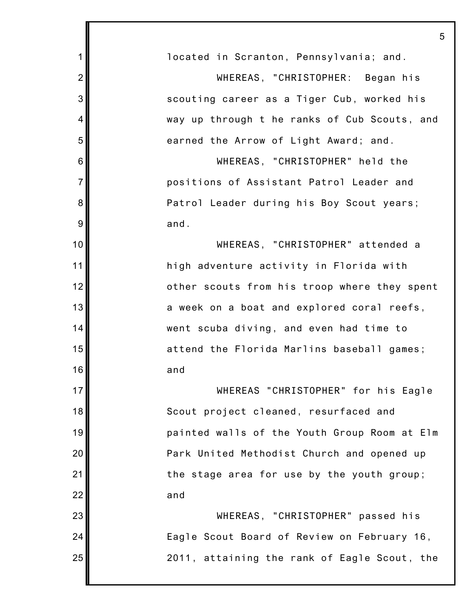| 1              | located in Scranton, Pennsylvania; and.      |
|----------------|----------------------------------------------|
| $\overline{2}$ | WHEREAS, "CHRISTOPHER: Began his             |
| 3              | scouting career as a Tiger Cub, worked his   |
| 4              | way up through t he ranks of Cub Scouts, and |
| 5              | earned the Arrow of Light Award; and.        |
| 6              | WHEREAS, "CHRISTOPHER" held the              |
| $\overline{7}$ | positions of Assistant Patrol Leader and     |
| 8              | Patrol Leader during his Boy Scout years;    |
| 9              | and.                                         |
| 10             | WHEREAS, "CHRISTOPHER" attended a            |
| 11             | high adventure activity in Florida with      |
| 12             | other scouts from his troop where they spent |
| 13             | a week on a boat and explored coral reefs,   |
| 14             | went scuba diving, and even had time to      |
| 15             | attend the Florida Marlins baseball games;   |
| 16             | and                                          |
| 17             | WHEREAS "CHRISTOPHER" for his Eagle          |
| 18             | Scout project cleaned, resurfaced and        |
| 19             | painted walls of the Youth Group Room at Elm |
| 20             | Park United Methodist Church and opened up   |
| 21             | the stage area for use by the youth group;   |
| 22             | and                                          |
| 23             | WHEREAS, "CHRISTOPHER" passed his            |
| 24             | Eagle Scout Board of Review on February 16,  |
| 25             | 2011, attaining the rank of Eagle Scout, the |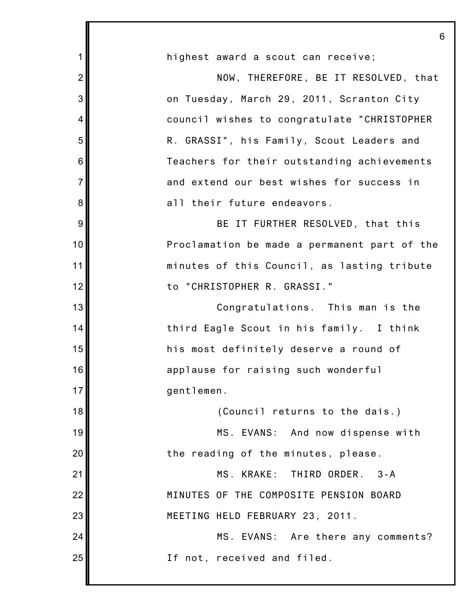|                | 6                                            |
|----------------|----------------------------------------------|
| 1              | highest award a scout can receive;           |
| $\overline{2}$ | NOW, THEREFORE, BE IT RESOLVED, that         |
| 3              | on Tuesday, March 29, 2011, Scranton City    |
| $\overline{4}$ | council wishes to congratulate "CHRISTOPHER  |
| 5              | R. GRASSI", his Family, Scout Leaders and    |
| 6              | Teachers for their outstanding achievements  |
| $\overline{7}$ | and extend our best wishes for success in    |
| 8              | all their future endeavors.                  |
| 9              | BE IT FURTHER RESOLVED, that this            |
| 10             | Proclamation be made a permanent part of the |
| 11             | minutes of this Council, as lasting tribute  |
| 12             | to "CHRISTOPHER R. GRASSI."                  |
| 13             | Congratulations. This man is the             |
| 14             | third Eagle Scout in his family. I think     |
| 15             | his most definitely deserve a round of       |
| 16             | applause for raising such wonderful          |
| 17             | gentlemen.                                   |
| 18             | (Council returns to the dais.)               |
| 19             | MS. EVANS: And now dispense with             |
| 20             | the reading of the minutes, please.          |
| 21             | MS. KRAKE: THIRD ORDER. 3-A                  |
| 22             | MINUTES OF THE COMPOSITE PENSION BOARD       |
| 23             | MEETING HELD FEBRUARY 23, 2011.              |
| 24             | MS. EVANS: Are there any comments?           |
| 25             | If not, received and filed.                  |
|                |                                              |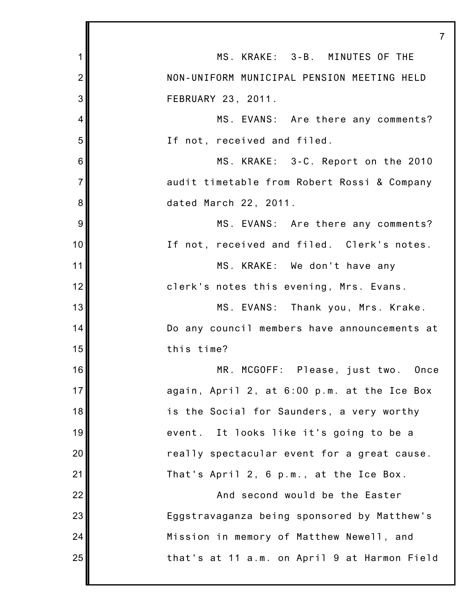|                 | $\overline{7}$                               |
|-----------------|----------------------------------------------|
| 1               | MS. KRAKE: 3-B. MINUTES OF THE               |
| $\overline{2}$  | NON-UNIFORM MUNICIPAL PENSION MEETING HELD   |
| 3               | FEBRUARY 23, 2011.                           |
| 4               | MS. EVANS: Are there any comments?           |
| 5               | If not, received and filed.                  |
| $6\phantom{1}6$ | MS. KRAKE: 3-C. Report on the 2010           |
| $\overline{7}$  | audit timetable from Robert Rossi & Company  |
| 8               | dated March 22, 2011.                        |
| 9               | MS. EVANS: Are there any comments?           |
| 10              | If not, received and filed. Clerk's notes.   |
| 11              | MS. KRAKE: We don't have any                 |
| 12              | clerk's notes this evening, Mrs. Evans.      |
| 13              | MS. EVANS: Thank you, Mrs. Krake.            |
| 14              | Do any council members have announcements at |
| 15              | this time?                                   |
| 16              | MR. MCGOFF: Please, just two. Once           |
| 17              | again, April 2, at 6:00 p.m. at the Ice Box  |
| 18              | is the Social for Saunders, a very worthy    |
| 19              | event. It looks like it's going to be a      |
| 20              | really spectacular event for a great cause.  |
| 21              | That's April 2, 6 p.m., at the Ice Box.      |
| 22              | And second would be the Easter               |
| 23              | Eggstravaganza being sponsored by Matthew's  |
| 24              | Mission in memory of Matthew Newell, and     |
| 25              | that's at 11 a.m. on April 9 at Harmon Field |
|                 |                                              |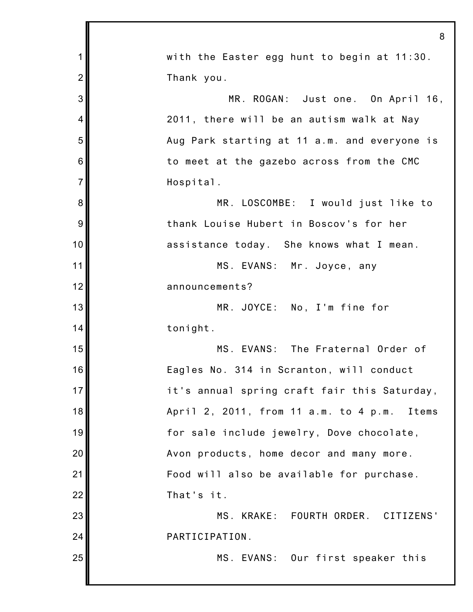|                 | 8                                            |
|-----------------|----------------------------------------------|
| $\mathbf 1$     | with the Easter egg hunt to begin at 11:30.  |
| $\overline{2}$  | Thank you.                                   |
| 3               | MR. ROGAN: Just one. On April 16,            |
| $\overline{4}$  | 2011, there will be an autism walk at Nay    |
| 5               | Aug Park starting at 11 a.m. and everyone is |
| $6\phantom{1}6$ | to meet at the gazebo across from the CMC    |
| $\overline{7}$  | Hospital.                                    |
| 8               | MR. LOSCOMBE: I would just like to           |
| 9               | thank Louise Hubert in Boscov's for her      |
| 10              | assistance today. She knows what I mean.     |
| 11              | MS. EVANS: Mr. Joyce, any                    |
| 12              | announcements?                               |
| 13              | MR. JOYCE: No, I'm fine for                  |
| 14              | tonight.                                     |
| 15              | MS. EVANS: The Fraternal Order of            |
| 16              | Eagles No. 314 in Scranton, will conduct     |
| 17              | it's annual spring craft fair this Saturday, |
| 18              | April 2, 2011, from 11 a.m. to 4 p.m. Items  |
| 19              | for sale include jewelry, Dove chocolate,    |
| 20              | Avon products, home decor and many more.     |
| 21              | Food will also be available for purchase.    |
| 22              | That's it.                                   |
| 23              | MS. KRAKE: FOURTH ORDER. CITIZENS'           |
| 24              | PARTICIPATION.                               |
| 25              | MS. EVANS: Our first speaker this            |
|                 |                                              |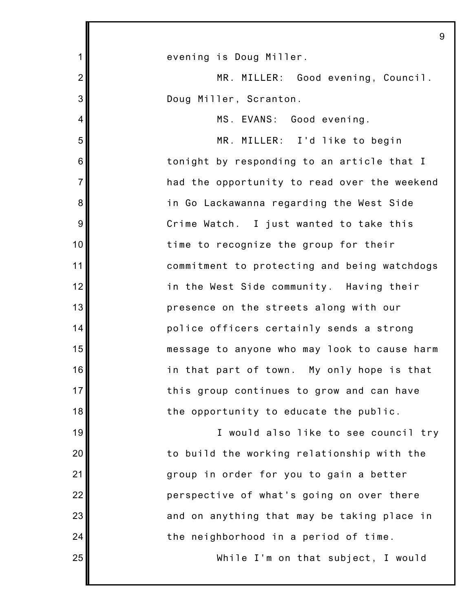1 2 3 4 5 6 7 8 9 10 11 12 13 14 15 16 17 18 19 20 21 22 23 24 25 9 evening is Doug Miller. MR. MILLER: Good evening, Council. Doug Miller, Scranton. MS. EVANS: Good evening. MR. MILLER: I'd like to begin tonight by responding to an article that I had the opportunity to read over the weekend in Go Lackawanna regarding the West Side Crime Watch. I just wanted to take this time to recognize the group for their commitment to protecting and being watchdogs in the West Side community. Having their presence on the streets along with our police officers certainly sends a strong message to anyone who may look to cause harm in that part of town. My only hope is that this group continues to grow and can have the opportunity to educate the public. I would also like to see council try to build the working relationship with the group in order for you to gain a better perspective of what's going on over there and on anything that may be taking place in the neighborhood in a period of time. While I'm on that subject, I would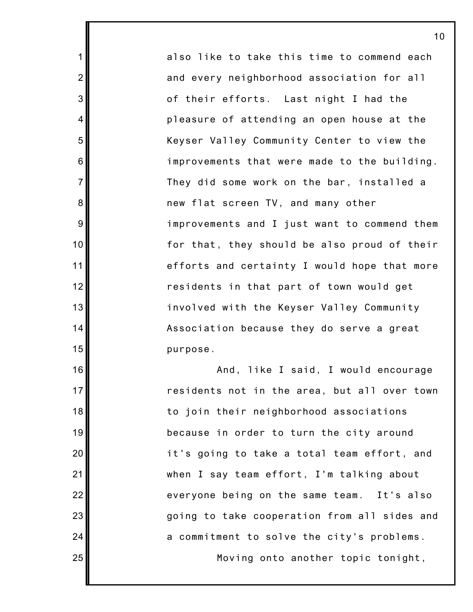also like to take this time to commend each and every neighborhood association for all of their efforts. Last night I had the pleasure of attending an open house at the Keyser Valley Community Center to view the improvements that were made to the building. They did some work on the bar, installed a new flat screen TV, and many other improvements and I just want to commend them for that, they should be also proud of their efforts and certainty I would hope that more residents in that part of town would get involved with the Keyser Valley Community Association because they do serve a great purpose.

1

2

3

4

5

6

7

8

9

10

11

12

13

14

15

16

17

18

19

20

21

22

23

24

25

And, like I said, I would encourage residents not in the area, but all over town to join their neighborhood associations because in order to turn the city around it's going to take a total team effort, and when I say team effort, I'm talking about everyone being on the same team. It's also going to take cooperation from all sides and a commitment to solve the city's problems.

Moving onto another topic tonight,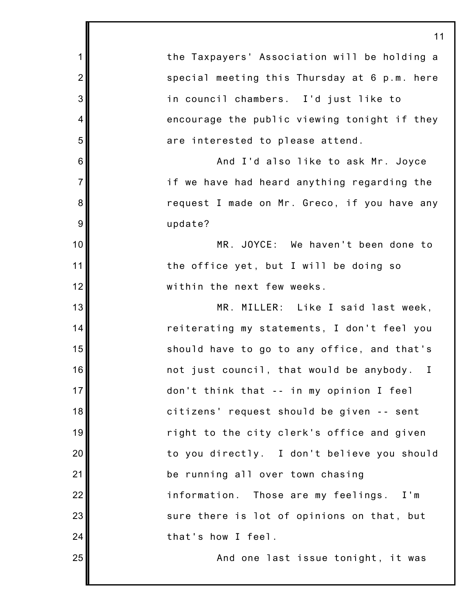1 2 3 4 5 6 7 8 9 10 11 12 13 14 15 16 17 18 19 20 21 22 23 24 25 the Taxpayers' Association will be holding a special meeting this Thursday at 6 p.m. here in council chambers. I'd just like to encourage the public viewing tonight if they are interested to please attend. And I'd also like to ask Mr. Joyce if we have had heard anything regarding the request I made on Mr. Greco, if you have any update? MR. JOYCE: We haven't been done to the office yet, but I will be doing so within the next few weeks. MR. MILLER: Like I said last week, reiterating my statements, I don't feel you should have to go to any office, and that's not just council, that would be anybody. I don't think that -- in my opinion I feel citizens' request should be given -- sent right to the city clerk's office and given to you directly. I don't believe you should be running all over town chasing information. Those are my feelings. I'm sure there is lot of opinions on that, but that's how I feel. And one last issue tonight, it was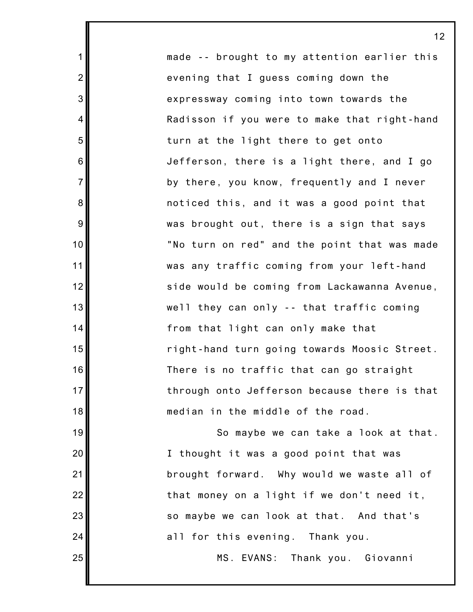made -- brought to my attention earlier this evening that I guess coming down the expressway coming into town towards the Radisson if you were to make that right-hand turn at the light there to get onto Jefferson, there is a light there, and I go by there, you know, frequently and I never noticed this, and it was a good point that was brought out, there is a sign that says "No turn on red" and the point that was made was any traffic coming from your left-hand side would be coming from Lackawanna Avenue, well they can only -- that traffic coming from that light can only make that right-hand turn going towards Moosic Street. There is no traffic that can go straight through onto Jefferson because there is that median in the middle of the road.

1

2

3

4

5

6

7

8

9

10

11

12

13

14

15

16

17

18

19

20

21

22

23

24

25

So maybe we can take a look at that. I thought it was a good point that was brought forward. Why would we waste all of that money on a light if we don't need it, so maybe we can look at that. And that's all for this evening. Thank you.

MS. EVANS: Thank you. Giovanni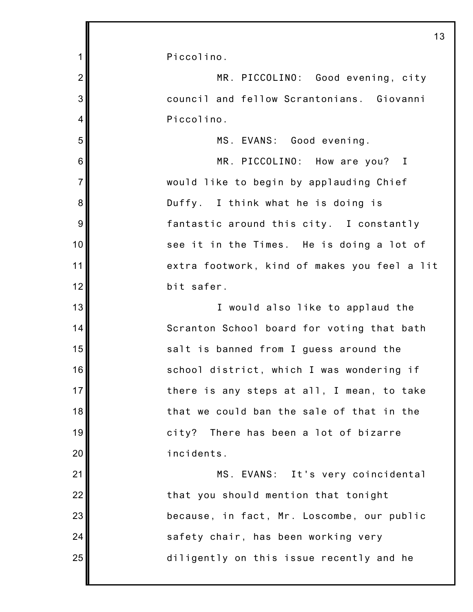1 2 3 4 5 6 7 8 9 10 11 12 13 14 15 16 17 18 19 20 21 22 23 24 25 13 Piccolino. MR. PICCOLINO: Good evening, city council and fellow Scrantonians. Giovanni Piccolino. MS. EVANS: Good evening. MR. PICCOLINO: How are you? I would like to begin by applauding Chief Duffy. I think what he is doing is fantastic around this city. I constantly see it in the Times. He is doing a lot of extra footwork, kind of makes you feel a lit bit safer. I would also like to applaud the Scranton School board for voting that bath salt is banned from I guess around the school district, which I was wondering if there is any steps at all, I mean, to take that we could ban the sale of that in the city? There has been a lot of bizarre incidents. MS. EVANS: It's very coincidental that you should mention that tonight because, in fact, Mr. Loscombe, our public safety chair, has been working very diligently on this issue recently and he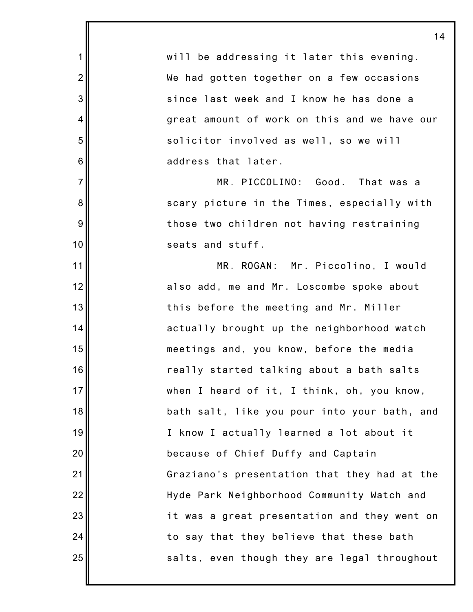will be addressing it later this evening. We had gotten together on a few occasions since last week and I know he has done a great amount of work on this and we have our solicitor involved as well, so we will address that later. MR. PICCOLINO: Good. That was a scary picture in the Times, especially with those two children not having restraining seats and stuff. MR. ROGAN: Mr. Piccolino, I would also add, me and Mr. Loscombe spoke about this before the meeting and Mr. Miller actually brought up the neighborhood watch meetings and, you know, before the media really started talking about a bath salts when I heard of it, I think, oh, you know, bath salt, like you pour into your bath, and I know I actually learned a lot about it because of Chief Duffy and Captain Graziano's presentation that they had at the Hyde Park Neighborhood Community Watch and it was a great presentation and they went on to say that they believe that these bath salts, even though they are legal throughout

1

2

3

4

5

6

7

8

9

10

11

12

13

14

15

16

17

18

19

20

21

22

23

24

25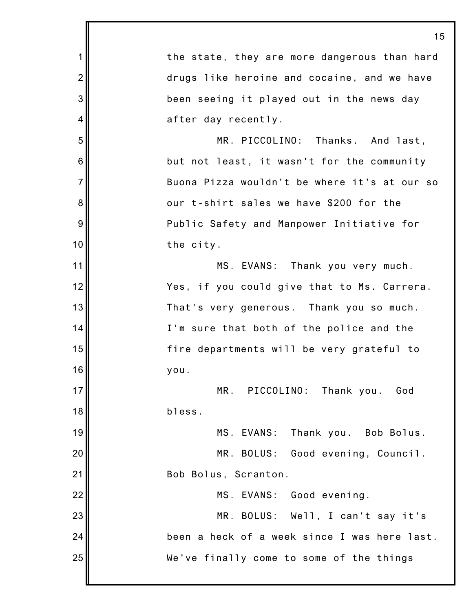1 2 3 4 5 6 7 8 9 10 11 12 13 14 15 16 17 18 19 20 21 22 23 24 25 15 the state, they are more dangerous than hard drugs like heroine and cocaine, and we have been seeing it played out in the news day after day recently. MR. PICCOLINO: Thanks. And last, but not least, it wasn't for the community Buona Pizza wouldn't be where it's at our so our t-shirt sales we have \$200 for the Public Safety and Manpower Initiative for the city. MS. EVANS: Thank you very much. Yes, if you could give that to Ms. Carrera. That's very generous. Thank you so much. I'm sure that both of the police and the fire departments will be very grateful to you. MR. PICCOLINO: Thank you. God bless. MS. EVANS: Thank you. Bob Bolus. MR. BOLUS: Good evening, Council. Bob Bolus, Scranton. MS. EVANS: Good evening. MR. BOLUS: Well, I can't say it's been a heck of a week since I was here last. We've finally come to some of the things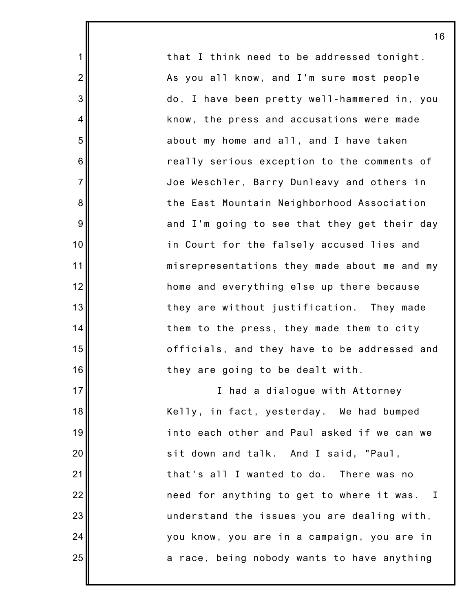that I think need to be addressed tonight. As you all know, and I'm sure most people do, I have been pretty well-hammered in, you know, the press and accusations were made about my home and all, and I have taken really serious exception to the comments of Joe Weschler, Barry Dunleavy and others in the East Mountain Neighborhood Association and I'm going to see that they get their day in Court for the falsely accused lies and misrepresentations they made about me and my home and everything else up there because they are without justification. They made them to the press, they made them to city officials, and they have to be addressed and they are going to be dealt with.

1

2

3

4

5

6

7

8

9

10

11

12

13

14

15

16

17

18

19

20

21

22

23

24

25

I had a dialogue with Attorney Kelly, in fact, yesterday. We had bumped into each other and Paul asked if we can we sit down and talk. And I said, "Paul, that's all I wanted to do. There was no need for anything to get to where it was. I understand the issues you are dealing with, you know, you are in a campaign, you are in a race, being nobody wants to have anything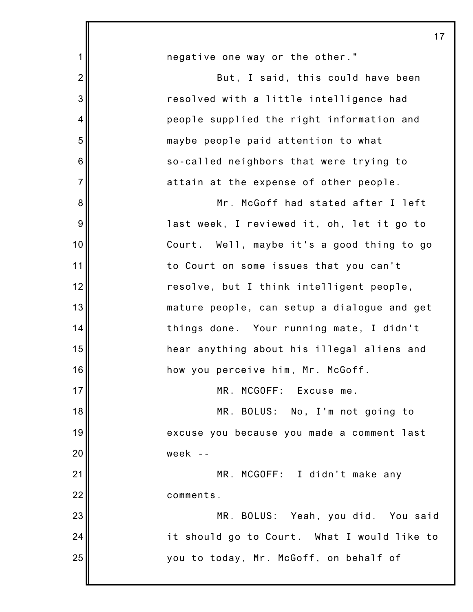| $\mathbf 1$    | negative one way or the other."             |
|----------------|---------------------------------------------|
| $\overline{2}$ | But, I said, this could have been           |
| 3              | resolved with a little intelligence had     |
| $\overline{4}$ | people supplied the right information and   |
| 5              | maybe people paid attention to what         |
| 6              | so-called neighbors that were trying to     |
| $\overline{7}$ | attain at the expense of other people.      |
| 8              | Mr. McGoff had stated after I left          |
| 9              | last week, I reviewed it, oh, let it go to  |
| 10             | Court. Well, maybe it's a good thing to go  |
| 11             | to Court on some issues that you can't      |
| 12             | resolve, but I think intelligent people,    |
| 13             | mature people, can setup a dialogue and get |
| 14             | things done. Your running mate, I didn't    |
| 15             | hear anything about his illegal aliens and  |
| 16             | how you perceive him, Mr. McGoff.           |
| 17             | MR. MCGOFF: Excuse me.                      |
| 18             | MR. BOLUS: No, I'm not going to             |
| 19             | excuse you because you made a comment last  |
| 20             | week --                                     |
| 21             | MR. MCGOFF: I didn't make any               |
| 22             | comments.                                   |
| 23             | MR. BOLUS: Yeah, you did. You said          |
| 24             | it should go to Court. What I would like to |
| 25             | you to today, Mr. McGoff, on behalf of      |
|                |                                             |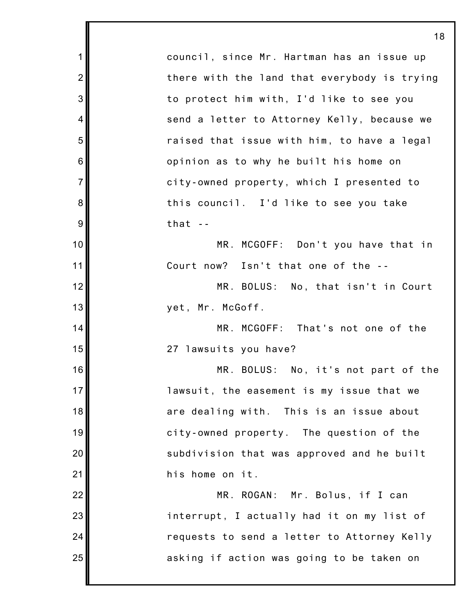1 2 3 4 5 6 7 8 9 10 11 12 13 14 15 16 17 18 19 20 21 22 23 24 25 council, since Mr. Hartman has an issue up there with the land that everybody is trying to protect him with, I'd like to see you send a letter to Attorney Kelly, because we raised that issue with him, to have a legal opinion as to why he built his home on city-owned property, which I presented to this council. I'd like to see you take that  $-$ MR. MCGOFF: Don't you have that in Court now? Isn't that one of the -- MR. BOLUS: No, that isn't in Court yet, Mr. McGoff. MR. MCGOFF: That's not one of the 27 lawsuits you have? MR. BOLUS: No, it's not part of the lawsuit, the easement is my issue that we are dealing with. This is an issue about city-owned property. The question of the subdivision that was approved and he built his home on it. MR. ROGAN: Mr. Bolus, if I can interrupt, I actually had it on my list of requests to send a letter to Attorney Kelly asking if action was going to be taken on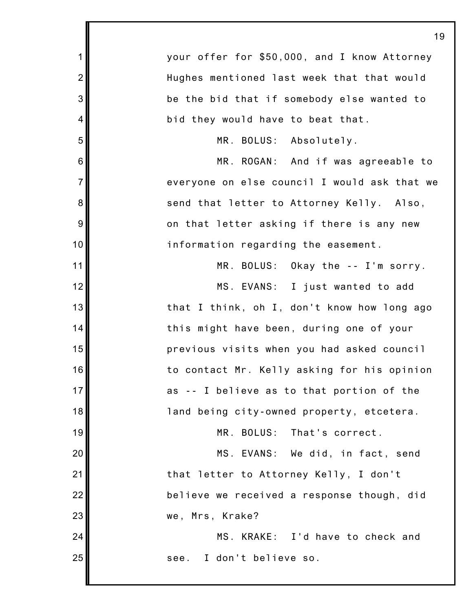|                | 19                                           |
|----------------|----------------------------------------------|
| $\mathbf 1$    | your offer for \$50,000, and I know Attorney |
| $\overline{2}$ | Hughes mentioned last week that that would   |
| 3              | be the bid that if somebody else wanted to   |
| 4              | bid they would have to beat that.            |
| 5              | MR. BOLUS: Absolutely.                       |
| 6              | MR. ROGAN: And if was agreeable to           |
| $\overline{7}$ | everyone on else council I would ask that we |
| 8              | send that letter to Attorney Kelly. Also,    |
| 9              | on that letter asking if there is any new    |
| 10             | information regarding the easement.          |
| 11             | MR. BOLUS: Okay the -- I'm sorry.            |
| 12             | MS. EVANS: I just wanted to add              |
| 13             | that I think, oh I, don't know how long ago  |
| 14             | this might have been, during one of your     |
| 15             | previous visits when you had asked council   |
| 16             | to contact Mr. Kelly asking for his opinion  |
| 17             | as -- I believe as to that portion of the    |
| 18             | land being city-owned property, etcetera.    |
| 19             | MR. BOLUS: That's correct.                   |
| 20             | MS. EVANS: We did, in fact, send             |
| 21             | that letter to Attorney Kelly, I don't       |
| 22             | believe we received a response though, did   |
| 23             | we, Mrs, Krake?                              |
| 24             | MS. KRAKE: I'd have to check and             |
| 25             | I don't believe so.<br>see.                  |
|                |                                              |

I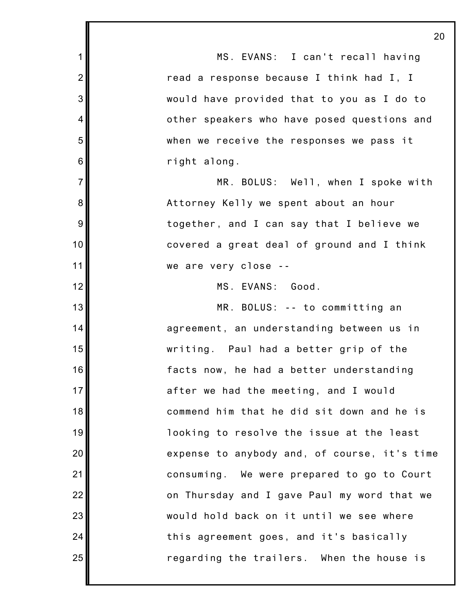|                | $\mathbf{z}$                                 |
|----------------|----------------------------------------------|
| $\mathbf 1$    | MS. EVANS: I can't recall having             |
| $\overline{2}$ | read a response because I think had I, I     |
| 3              | would have provided that to you as I do to   |
| $\overline{4}$ | other speakers who have posed questions and  |
| 5              | when we receive the responses we pass it     |
| 6              | right along.                                 |
| $\overline{7}$ | MR. BOLUS: Well, when I spoke with           |
| 8              | Attorney Kelly we spent about an hour        |
| 9              | together, and I can say that I believe we    |
| 10             | covered a great deal of ground and I think   |
| 11             | we are very close --                         |
| 12             | MS. EVANS: Good.                             |
| 13             | MR. BOLUS: -- to committing an               |
| 14             | agreement, an understanding between us in    |
| 15             | writing. Paul had a better grip of the       |
| 16             | facts now, he had a better understanding     |
| 17             | after we had the meeting, and I would        |
| 18             | commend him that he did sit down and he is   |
| 19             | looking to resolve the issue at the least    |
| 20             | expense to anybody and, of course, it's time |
| 21             | consuming. We were prepared to go to Court   |
| 22             | on Thursday and I gave Paul my word that we  |
| 23             | would hold back on it until we see where     |
| 24             | this agreement goes, and it's basically      |
| 25             | regarding the trailers. When the house is    |
|                |                                              |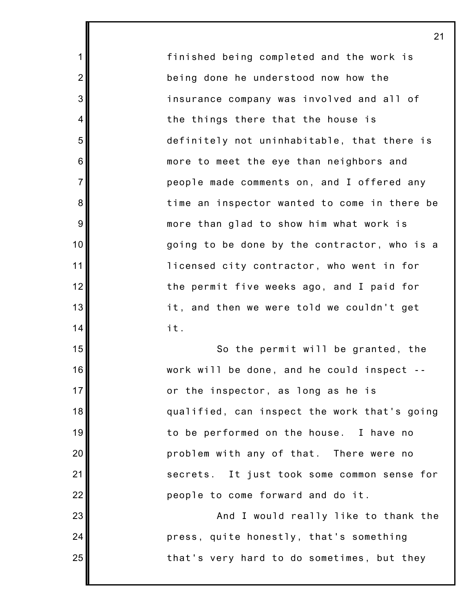finished being completed and the work is being done he understood now how the insurance company was involved and all of the things there that the house is definitely not uninhabitable, that there is more to meet the eye than neighbors and people made comments on, and I offered any time an inspector wanted to come in there be more than glad to show him what work is going to be done by the contractor, who is a licensed city contractor, who went in for the permit five weeks ago, and I paid for it, and then we were told we couldn't get it.

1

2

3

4

5

6

7

8

9

10

11

12

13

14

15

16

17

18

19

20

21

22

23

24

25

So the permit will be granted, the work will be done, and he could inspect - or the inspector, as long as he is qualified, can inspect the work that's going to be performed on the house. I have no problem with any of that. There were no secrets. It just took some common sense for people to come forward and do it.

And I would really like to thank the press, quite honestly, that's something that's very hard to do sometimes, but they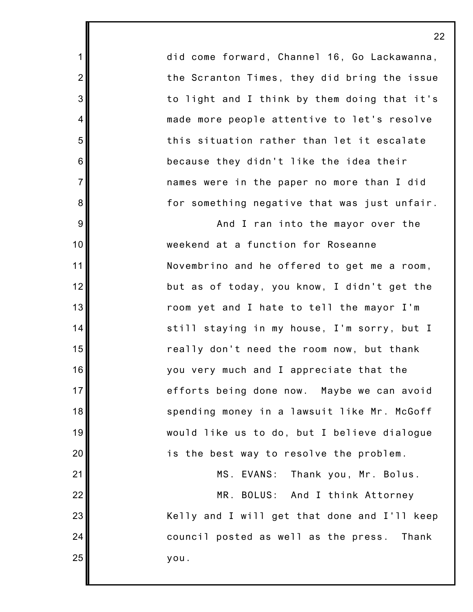did come forward, Channel 16, Go Lackawanna, the Scranton Times, they did bring the issue to light and I think by them doing that it's made more people attentive to let's resolve this situation rather than let it escalate because they didn't like the idea their names were in the paper no more than I did for something negative that was just unfair.

1

2

3

4

5

6

7

8

9

10

11

12

13

14

15

16

17

18

19

20

21

22

23

24

25

And I ran into the mayor over the weekend at a function for Roseanne Novembrino and he offered to get me a room, but as of today, you know, I didn't get the room yet and I hate to tell the mayor I'm still staying in my house, I'm sorry, but I really don't need the room now, but thank you very much and I appreciate that the efforts being done now. Maybe we can avoid spending money in a lawsuit like Mr. McGoff would like us to do, but I believe dialogue is the best way to resolve the problem.

MS. EVANS: Thank you, Mr. Bolus.

MR. BOLUS: And I think Attorney Kelly and I will get that done and I'll keep council posted as well as the press. Thank you.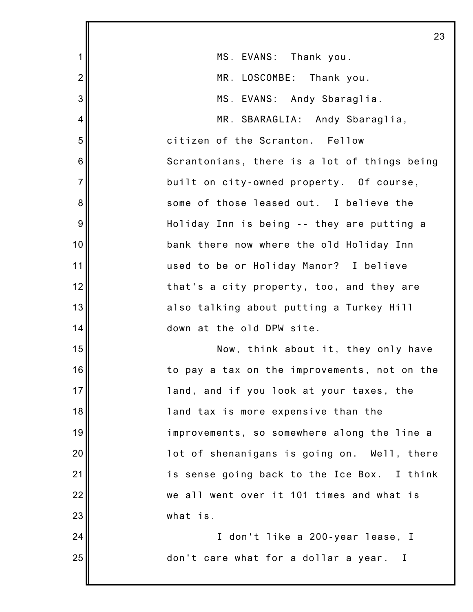|                         | 23                                           |
|-------------------------|----------------------------------------------|
| 1                       | MS. EVANS: Thank you.                        |
| $\overline{2}$          | MR. LOSCOMBE: Thank you.                     |
| 3                       | MS. EVANS: Andy Sbaraglia.                   |
| $\overline{\mathbf{4}}$ | MR. SBARAGLIA: Andy Sbaraglia,               |
| 5                       | citizen of the Scranton. Fellow              |
| $\,$ 6 $\,$             | Scrantonians, there is a lot of things being |
| $\overline{7}$          | built on city-owned property. Of course,     |
| 8                       | some of those leased out. I believe the      |
| $\overline{9}$          | Holiday Inn is being -- they are putting a   |
| 10                      | bank there now where the old Holiday Inn     |
| 11                      | used to be or Holiday Manor? I believe       |
| 12                      | that's a city property, too, and they are    |
| 13                      | also talking about putting a Turkey Hill     |
| 14                      | down at the old DPW site.                    |
| 15                      | Now, think about it, they only have          |
| 16                      | to pay a tax on the improvements, not on the |
| 17                      | land, and if you look at your taxes, the     |
| 18                      | land tax is more expensive than the          |
| 19                      | improvements, so somewhere along the line a  |
| 20                      | lot of shenanigans is going on. Well, there  |
| 21                      | is sense going back to the Ice Box. I think  |
| 22                      | we all went over it 101 times and what is    |
| 23                      | what is.                                     |
| 24                      | I don't like a 200-year lease, I             |
| 25                      | don't care what for a dollar a year. I       |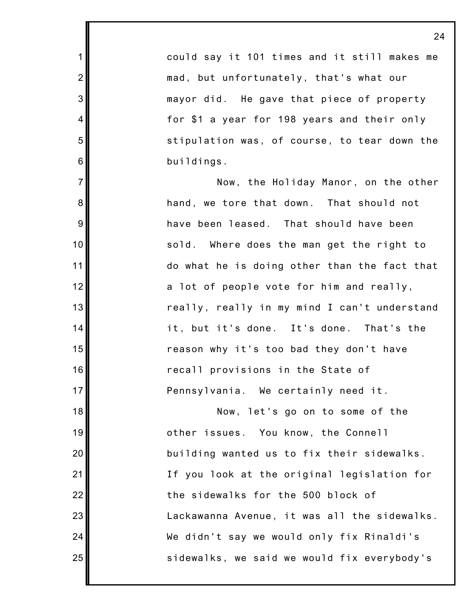could say it 101 times and it still makes me mad, but unfortunately, that's what our mayor did. He gave that piece of property for \$1 a year for 198 years and their only stipulation was, of course, to tear down the buildings.

1

2

3

4

5

6

7

8

9

10

11

12

13

14

15

16

17

18

19

20

21

22

23

24

25

Now, the Holiday Manor, on the other hand, we tore that down. That should not have been leased. That should have been sold. Where does the man get the right to do what he is doing other than the fact that a lot of people vote for him and really, really, really in my mind I can't understand it, but it's done. It's done. That's the reason why it's too bad they don't have recall provisions in the State of Pennsylvania. We certainly need it.

Now, let's go on to some of the other issues. You know, the Connell building wanted us to fix their sidewalks. If you look at the original legislation for the sidewalks for the 500 block of Lackawanna Avenue, it was all the sidewalks. We didn't say we would only fix Rinaldi's sidewalks, we said we would fix everybody's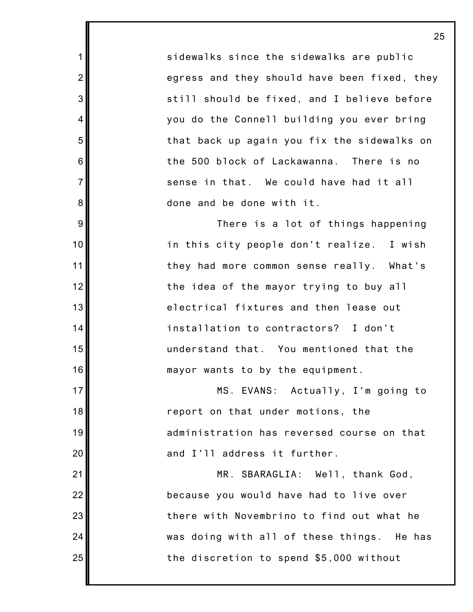sidewalks since the sidewalks are public egress and they should have been fixed, they still should be fixed, and I believe before you do the Connell building you ever bring that back up again you fix the sidewalks on the 500 block of Lackawanna. There is no sense in that. We could have had it all done and be done with it.

1

2

3

4

5

6

7

8

9

10

11

12

13

14

15

16

17

18

19

20

21

22

23

24

25

There is a lot of things happening in this city people don't realize. I wish they had more common sense really. What's the idea of the mayor trying to buy all electrical fixtures and then lease out installation to contractors? I don't understand that. You mentioned that the mayor wants to by the equipment.

MS. EVANS: Actually, I'm going to report on that under motions, the administration has reversed course on that and I'll address it further.

MR. SBARAGLIA: Well, thank God, because you would have had to live over there with Novembrino to find out what he was doing with all of these things. He has the discretion to spend \$5,000 without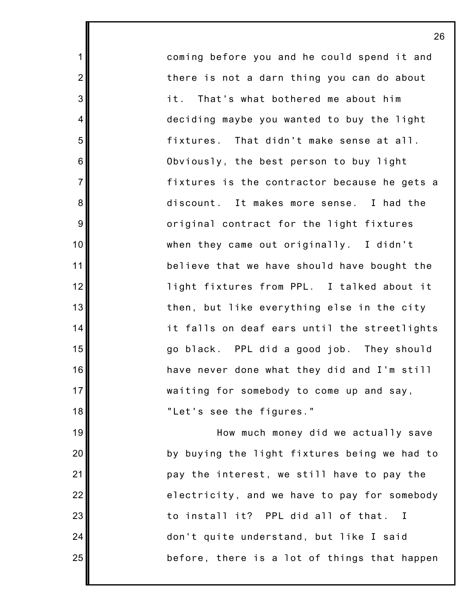coming before you and he could spend it and there is not a darn thing you can do about it. That's what bothered me about him deciding maybe you wanted to buy the light fixtures. That didn't make sense at all. Obviously, the best person to buy light fixtures is the contractor because he gets a discount. It makes more sense. I had the original contract for the light fixtures when they came out originally. I didn't believe that we have should have bought the light fixtures from PPL. I talked about it then, but like everything else in the city it falls on deaf ears until the streetlights go black. PPL did a good job. They should have never done what they did and I'm still waiting for somebody to come up and say, "Let's see the figures."

1

2

3

4

5

6

7

8

9

10

11

12

13

14

15

16

17

18

19

20

21

22

23

24

25

How much money did we actually save by buying the light fixtures being we had to pay the interest, we still have to pay the electricity, and we have to pay for somebody to install it? PPL did all of that. I don't quite understand, but like I said before, there is a lot of things that happen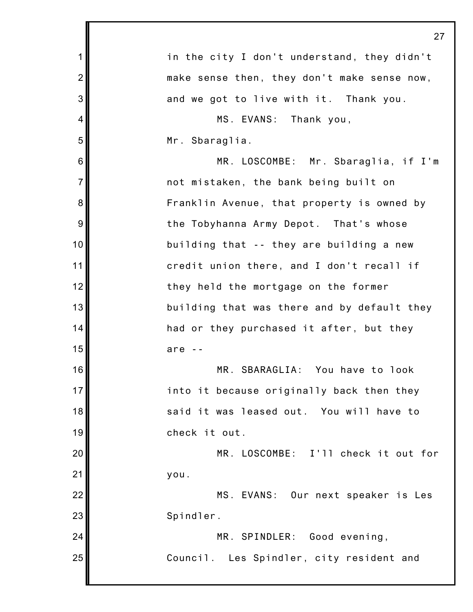|                | 27                                          |
|----------------|---------------------------------------------|
| $\mathbf 1$    | in the city I don't understand, they didn't |
| $\overline{2}$ | make sense then, they don't make sense now, |
| 3              | and we got to live with it. Thank you.      |
| $\overline{4}$ | MS. EVANS: Thank you,                       |
| 5              | Mr. Sbaraglia.                              |
| 6              | MR. LOSCOMBE: Mr. Sbaraglia, if I'm         |
| $\overline{7}$ | not mistaken, the bank being built on       |
| 8              | Franklin Avenue, that property is owned by  |
| 9              | the Tobyhanna Army Depot. That's whose      |
| 10             | building that -- they are building a new    |
| 11             | credit union there, and I don't recall if   |
| 12             | they held the mortgage on the former        |
| 13             | building that was there and by default they |
| 14             | had or they purchased it after, but they    |
| 15             | are                                         |
| 16             | MR. SBARAGLIA: You have to look             |
| 17             | into it because originally back then they   |
| 18             | said it was leased out. You will have to    |
| 19             | check it out.                               |
| 20             | MR. LOSCOMBE: I'll check it out for         |
| 21             | you.                                        |
| 22             | MS. EVANS: Our next speaker is Les          |
| 23             | Spindler.                                   |
| 24             | MR. SPINDLER: Good evening,                 |
| 25             | Council. Les Spindler, city resident and    |
|                |                                             |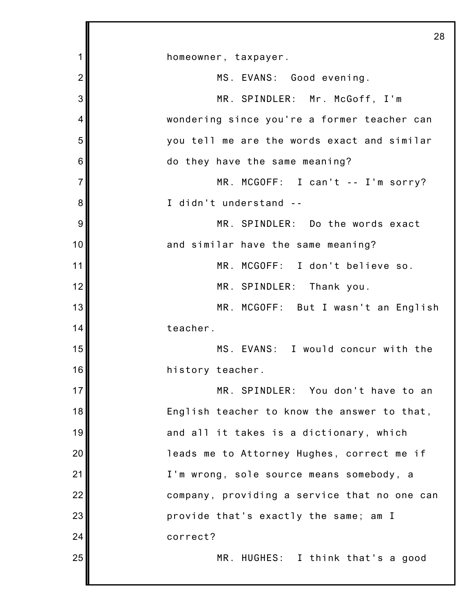|                | 28                                           |
|----------------|----------------------------------------------|
| 1              | homeowner, taxpayer.                         |
| $\overline{2}$ | MS. EVANS: Good evening.                     |
| 3              | MR. SPINDLER: Mr. McGoff, I'm                |
| 4              | wondering since you're a former teacher can  |
| 5              | you tell me are the words exact and similar  |
| 6              | do they have the same meaning?               |
| $\overline{7}$ | MR. MCGOFF: I can't -- I'm sorry?            |
| 8              | I didn't understand --                       |
| 9              | MR. SPINDLER: Do the words exact             |
| 10             | and similar have the same meaning?           |
| 11             | MR. MCGOFF: I don't believe so.              |
| 12             | MR. SPINDLER: Thank you.                     |
| 13             | MR. MCGOFF: But I wasn't an English          |
| 14             | teacher.                                     |
| 15             | MS. EVANS: I would concur with the           |
| 16             | history teacher.                             |
| 17             | MR. SPINDLER: You don't have to an           |
| 18             | English teacher to know the answer to that,  |
| 19             | and all it takes is a dictionary, which      |
| 20             | leads me to Attorney Hughes, correct me if   |
| 21             | I'm wrong, sole source means somebody, a     |
| 22             | company, providing a service that no one can |
| 23             | provide that's exactly the same; am I        |
| 24             | correct?                                     |
| 25             | MR. HUGHES: I think that's a good            |
|                |                                              |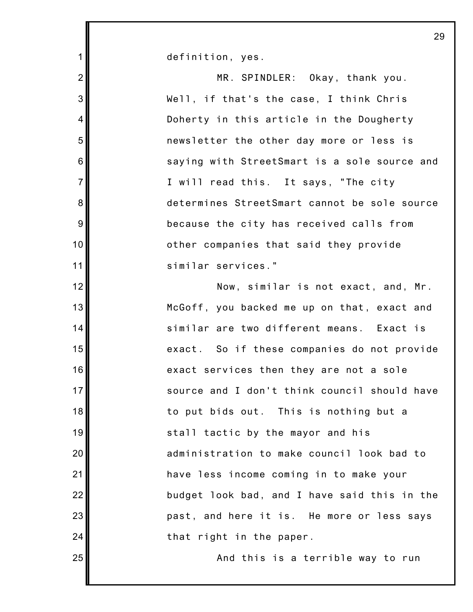definition, yes.

1

2

3

4

5

6

7

8

9

10

11

12

13

14

15

16

17

18

19

20

21

22

23

24

25

MR. SPINDLER: Okay, thank you. Well, if that's the case, I think Chris Doherty in this article in the Dougherty newsletter the other day more or less is saying with StreetSmart is a sole source and I will read this. It says, "The city determines StreetSmart cannot be sole source because the city has received calls from other companies that said they provide similar services." Now, similar is not exact, and, Mr. McGoff, you backed me up on that, exact and similar are two different means. Exact is exact. So if these companies do not provide exact services then they are not a sole source and I don't think council should have to put bids out. This is nothing but a stall tactic by the mayor and his administration to make council look bad to have less income coming in to make your budget look bad, and I have said this in the past, and here it is. He more or less says that right in the paper.

And this is a terrible way to run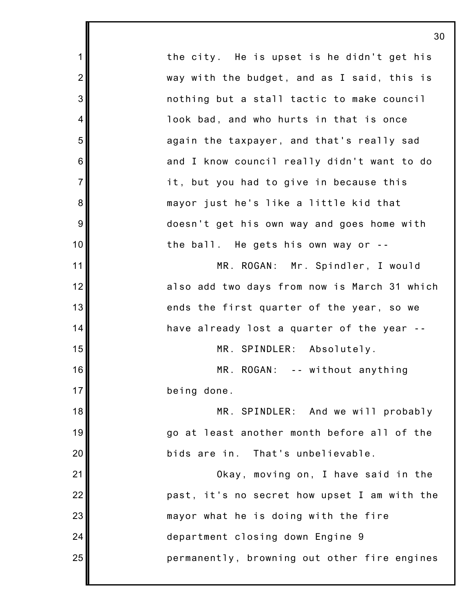1 2 3 4 5 6 7 8 9 10 11 12 13 14 15 16 17 18 19 20 21 22 23 24 25 the city. He is upset is he didn't get his way with the budget, and as I said, this is nothing but a stall tactic to make council look bad, and who hurts in that is once again the taxpayer, and that's really sad and I know council really didn't want to do it, but you had to give in because this mayor just he's like a little kid that doesn't get his own way and goes home with the ball. He gets his own way or -- MR. ROGAN: Mr. Spindler, I would also add two days from now is March 31 which ends the first quarter of the year, so we have already lost a quarter of the year -- MR. SPINDLER: Absolutely. MR. ROGAN: -- without anything being done. MR. SPINDLER: And we will probably go at least another month before all of the bids are in. That's unbelievable. Okay, moving on, I have said in the past, it's no secret how upset I am with the mayor what he is doing with the fire department closing down Engine 9 permanently, browning out other fire engines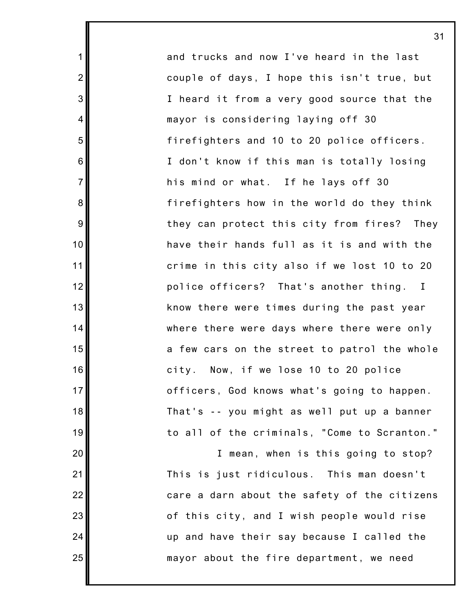and trucks and now I've heard in the last couple of days, I hope this isn't true, but I heard it from a very good source that the mayor is considering laying off 30 firefighters and 10 to 20 police officers. I don't know if this man is totally losing his mind or what. If he lays off 30 firefighters how in the world do they think they can protect this city from fires? They have their hands full as it is and with the crime in this city also if we lost 10 to 20 police officers? That's another thing. I know there were times during the past year where there were days where there were only a few cars on the street to patrol the whole city. Now, if we lose 10 to 20 police officers, God knows what's going to happen. That's -- you might as well put up a banner to all of the criminals, "Come to Scranton."

1

2

3

4

5

6

7

8

9

10

11

12

13

14

15

16

17

18

19

20

21

22

23

24

25

I mean, when is this going to stop? This is just ridiculous. This man doesn't care a darn about the safety of the citizens of this city, and I wish people would rise up and have their say because I called the mayor about the fire department, we need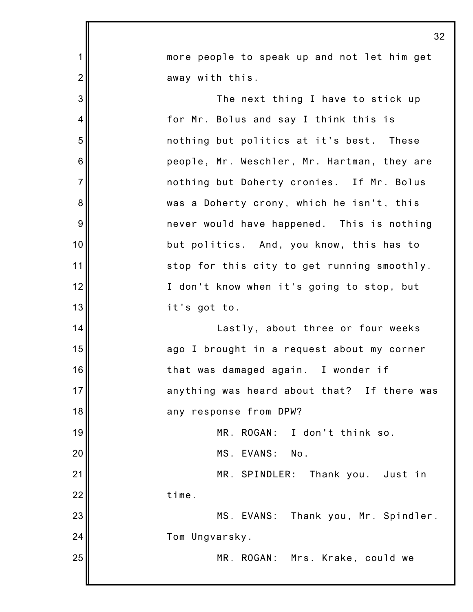|                | 32                                          |
|----------------|---------------------------------------------|
| $\mathbf 1$    | more people to speak up and not let him get |
| $\overline{2}$ | away with this.                             |
| 3              | The next thing I have to stick up           |
| 4              | for Mr. Bolus and say I think this is       |
| 5              | nothing but politics at it's best. These    |
| 6              | people, Mr. Weschler, Mr. Hartman, they are |
| $\overline{7}$ | nothing but Doherty cronies. If Mr. Bolus   |
| 8              | was a Doherty crony, which he isn't, this   |
| 9              | never would have happened. This is nothing  |
| 10             | but politics. And, you know, this has to    |
| 11             | stop for this city to get running smoothly. |
| 12             | I don't know when it's going to stop, but   |
| 13             | it's got to.                                |
| 14             | Lastly, about three or four weeks           |
| 15             | ago I brought in a request about my corner  |
| 16             | that was damaged again. I wonder if         |
| 17             | anything was heard about that? If there was |
| 18             | any response from DPW?                      |
| 19             | MR. ROGAN:<br>I don't think so.             |
| 20             | MS. EVANS:<br>No.                           |
| 21             | MR. SPINDLER:<br>Thank you. Just in         |
| 22             | time.                                       |
| 23             | MS. EVANS: Thank you, Mr. Spindler.         |
| 24             | Tom Ungvarsky.                              |
| 25             | MR. ROGAN:<br>Mrs. Krake, could we          |
|                |                                             |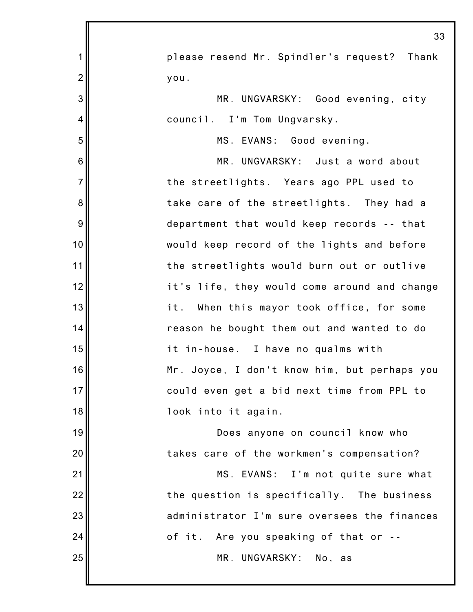|                | 33                                           |
|----------------|----------------------------------------------|
| $\mathbf 1$    | please resend Mr. Spindler's request? Thank  |
| $\overline{2}$ | you.                                         |
| 3              | MR. UNGVARSKY: Good evening, city            |
| 4              | council. I'm Tom Ungvarsky.                  |
| 5              | MS. EVANS: Good evening.                     |
| 6              | MR. UNGVARSKY: Just a word about             |
| $\overline{7}$ | the streetlights. Years ago PPL used to      |
| 8              | take care of the streetlights. They had a    |
| 9              | department that would keep records -- that   |
| 10             | would keep record of the lights and before   |
| 11             | the streetlights would burn out or outlive   |
| 12             | it's life, they would come around and change |
| 13             | it. When this mayor took office, for some    |
| 14             | reason he bought them out and wanted to do   |
| 15             | it in-house. I have no qualms with           |
| 16             | Mr. Joyce, I don't know him, but perhaps you |
| 17             | could even get a bid next time from PPL to   |
| 18             | look into it again.                          |
| 19             | Does anyone on council know who              |
| 20             | takes care of the workmen's compensation?    |
| 21             | MS. EVANS: I'm not quite sure what           |
| 22             | the question is specifically. The business   |
| 23             | administrator I'm sure oversees the finances |
| 24             | of it. Are you speaking of that or --        |
| 25             | MR. UNGVARSKY: No, as                        |
|                |                                              |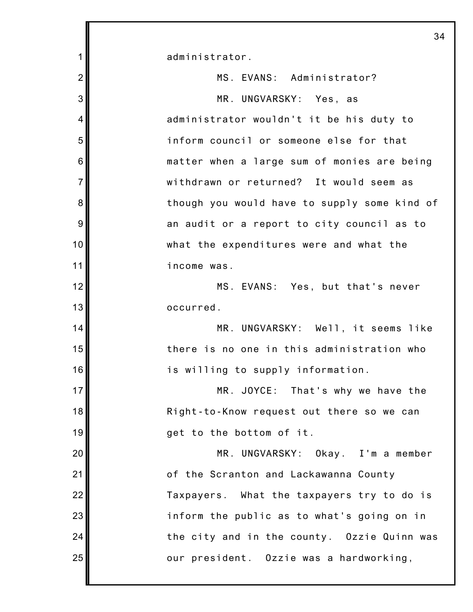administrator.

1

2 3 4 5 6 7 8 9 10 11 12 13 14 15 16 17 18 19 20 21 22 23 24 25 MS. EVANS: Administrator? MR. UNGVARSKY: Yes, as administrator wouldn't it be his duty to inform council or someone else for that matter when a large sum of monies are being withdrawn or returned? It would seem as though you would have to supply some kind of an audit or a report to city council as to what the expenditures were and what the income was. MS. EVANS: Yes, but that's never occurred. MR. UNGVARSKY: Well, it seems like there is no one in this administration who is willing to supply information. MR. JOYCE: That's why we have the Right-to-Know request out there so we can get to the bottom of it. MR. UNGVARSKY: Okay. I'm a member of the Scranton and Lackawanna County Taxpayers. What the taxpayers try to do is inform the public as to what's going on in the city and in the county. Ozzie Quinn was our president. Ozzie was a hardworking,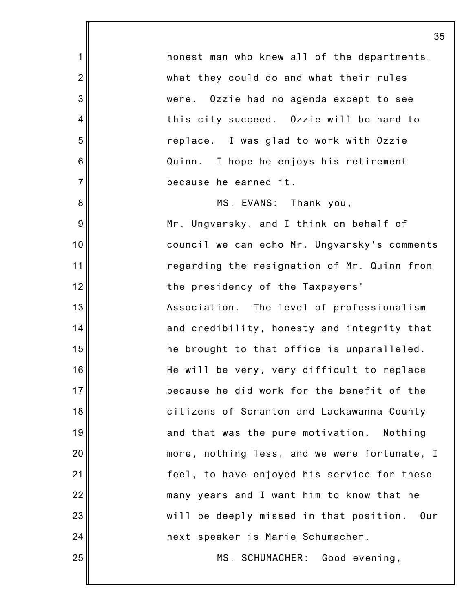honest man who knew all of the departments, what they could do and what their rules were. Ozzie had no agenda except to see this city succeed. Ozzie will be hard to replace. I was glad to work with Ozzie Quinn. I hope he enjoys his retirement because he earned it.

1

2

3

4

5

6

7

8

9

10

11

12

13

14

15

16

17

18

19

20

21

22

23

24

25

MS. EVANS: Thank you, Mr. Ungvarsky, and I think on behalf of council we can echo Mr. Ungvarsky's comments regarding the resignation of Mr. Quinn from the presidency of the Taxpayers' Association. The level of professionalism and credibility, honesty and integrity that he brought to that office is unparalleled. He will be very, very difficult to replace because he did work for the benefit of the citizens of Scranton and Lackawanna County and that was the pure motivation. Nothing more, nothing less, and we were fortunate, I feel, to have enjoyed his service for these many years and I want him to know that he will be deeply missed in that position. Our next speaker is Marie Schumacher.

MS. SCHUMACHER: Good evening,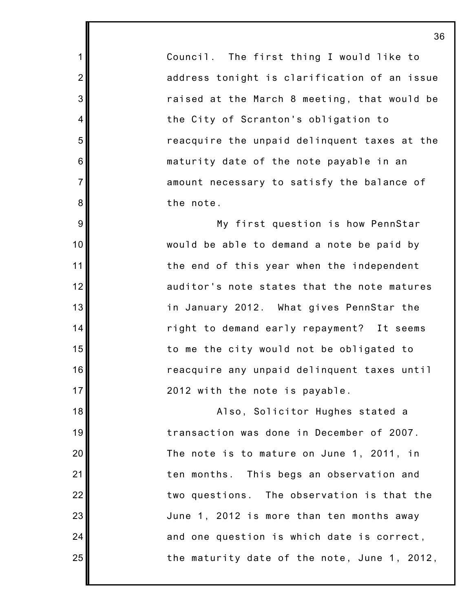Council. The first thing I would like to address tonight is clarification of an issue raised at the March 8 meeting, that would be the City of Scranton's obligation to reacquire the unpaid delinquent taxes at the maturity date of the note payable in an amount necessary to satisfy the balance of the note.

1

2

3

4

5

6

7

8

9

10

11

12

13

14

15

16

17

18

19

20

21

22

23

24

25

My first question is how PennStar would be able to demand a note be paid by the end of this year when the independent auditor's note states that the note matures in January 2012. What gives PennStar the right to demand early repayment? It seems to me the city would not be obligated to reacquire any unpaid delinquent taxes until 2012 with the note is payable.

Also, Solicitor Hughes stated a transaction was done in December of 2007. The note is to mature on June 1, 2011, in ten months. This begs an observation and two questions. The observation is that the June 1, 2012 is more than ten months away and one question is which date is correct, the maturity date of the note, June 1, 2012,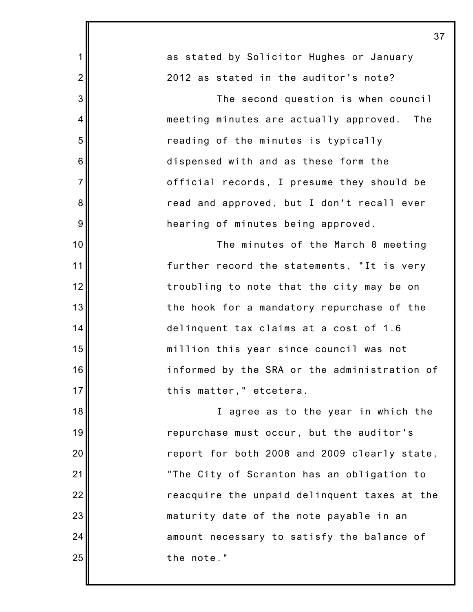1 2 3 4 5 6 7 8 9 10 11 12 13 14 15 16 17 18 19 20 21 22 23 24 25 as stated by Solicitor Hughes or January 2012 as stated in the auditor's note? The second question is when council meeting minutes are actually approved. The reading of the minutes is typically dispensed with and as these form the official records, I presume they should be read and approved, but I don't recall ever hearing of minutes being approved. The minutes of the March 8 meeting further record the statements, "It is very troubling to note that the city may be on the hook for a mandatory repurchase of the delinquent tax claims at a cost of 1.6 million this year since council was not informed by the SRA or the administration of this matter," etcetera. I agree as to the year in which the repurchase must occur, but the auditor's report for both 2008 and 2009 clearly state, "The City of Scranton has an obligation to reacquire the unpaid delinquent taxes at the maturity date of the note payable in an amount necessary to satisfy the balance of the note."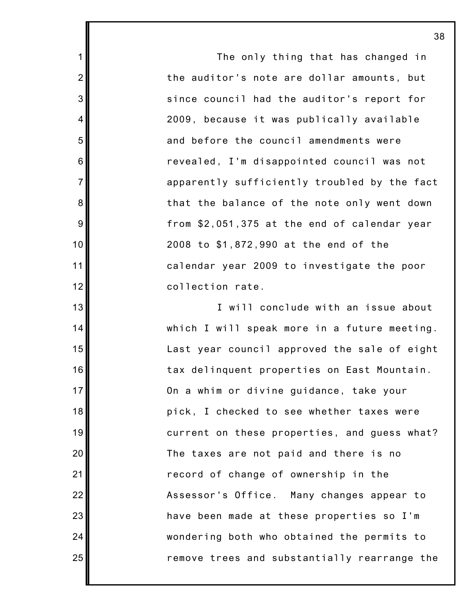The only thing that has changed in the auditor's note are dollar amounts, but since council had the auditor's report for 2009, because it was publically available and before the council amendments were revealed, I'm disappointed council was not apparently sufficiently troubled by the fact that the balance of the note only went down from \$2,051,375 at the end of calendar year 2008 to \$1,872,990 at the end of the calendar year 2009 to investigate the poor collection rate.

1

2

3

4

5

6

7

8

9

10

11

12

13

14

15

16

17

18

19

20

21

22

23

24

25

I will conclude with an issue about which I will speak more in a future meeting. Last year council approved the sale of eight tax delinquent properties on East Mountain. On a whim or divine guidance, take your pick, I checked to see whether taxes were current on these properties, and guess what? The taxes are not paid and there is no record of change of ownership in the Assessor's Office. Many changes appear to have been made at these properties so I'm wondering both who obtained the permits to remove trees and substantially rearrange the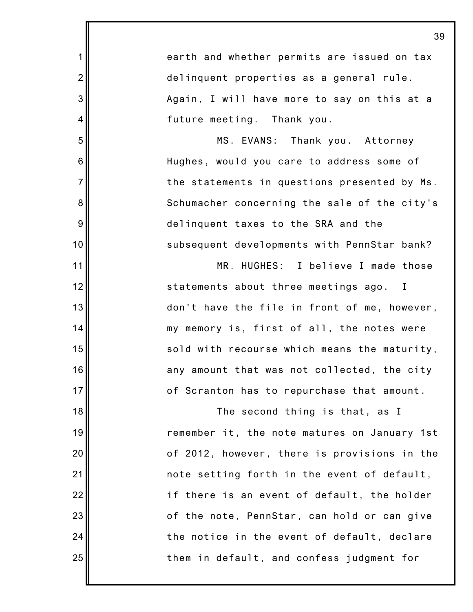1 2 3 4 5 6 7 8 9 10 11 12 13 14 15 16 17 18 19 20 21 22 23 24 25 earth and whether permits are issued on tax delinquent properties as a general rule. Again, I will have more to say on this at a future meeting. Thank you. MS. EVANS: Thank you. Attorney Hughes, would you care to address some of the statements in questions presented by Ms. Schumacher concerning the sale of the city's delinquent taxes to the SRA and the subsequent developments with PennStar bank? MR. HUGHES: I believe I made those statements about three meetings ago. I don't have the file in front of me, however, my memory is, first of all, the notes were sold with recourse which means the maturity, any amount that was not collected, the city of Scranton has to repurchase that amount. The second thing is that, as I remember it, the note matures on January 1st of 2012, however, there is provisions in the note setting forth in the event of default, if there is an event of default, the holder of the note, PennStar, can hold or can give the notice in the event of default, declare them in default, and confess judgment for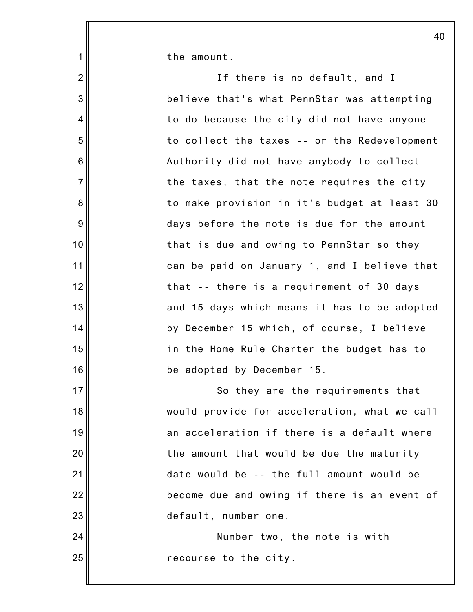the amount.

1

2

3

4

5

6

7

8

9

10

11

12

13

14

15

17

18

19

20

21

22

23

24

25

16 If there is no default, and I believe that's what PennStar was attempting to do because the city did not have anyone to collect the taxes -- or the Redevelopment Authority did not have anybody to collect the taxes, that the note requires the city to make provision in it's budget at least 30 days before the note is due for the amount that is due and owing to PennStar so they can be paid on January 1, and I believe that that -- there is a requirement of 30 days and 15 days which means it has to be adopted by December 15 which, of course, I believe in the Home Rule Charter the budget has to be adopted by December 15. So they are the requirements that would provide for acceleration, what we call an acceleration if there is a default where the amount that would be due the maturity date would be -- the full amount would be become due and owing if there is an event of default, number one. Number two, the note is with

recourse to the city.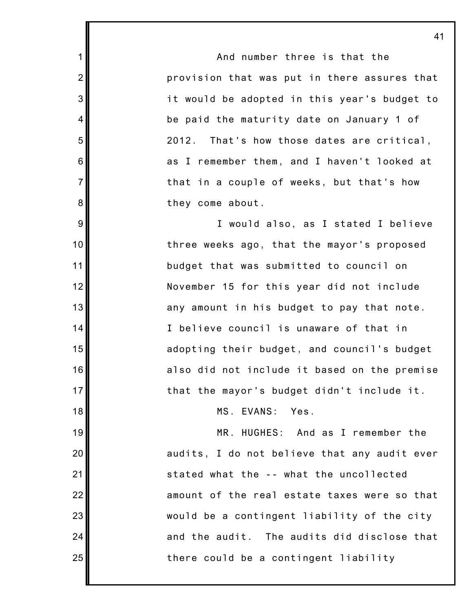And number three is that the provision that was put in there assures that it would be adopted in this year's budget to be paid the maturity date on January 1 of 2012. That's how those dates are critical, as I remember them, and I haven't looked at that in a couple of weeks, but that's how they come about.

1

2

3

4

5

6

7

8

9

10

11

12

13

14

15

16

17

18

19

20

21

22

23

24

25

I would also, as I stated I believe three weeks ago, that the mayor's proposed budget that was submitted to council on November 15 for this year did not include any amount in his budget to pay that note. I believe council is unaware of that in adopting their budget, and council's budget also did not include it based on the premise that the mayor's budget didn't include it.

MS. EVANS: Yes.

MR. HUGHES: And as I remember the audits, I do not believe that any audit ever stated what the -- what the uncollected amount of the real estate taxes were so that would be a contingent liability of the city and the audit. The audits did disclose that there could be a contingent liability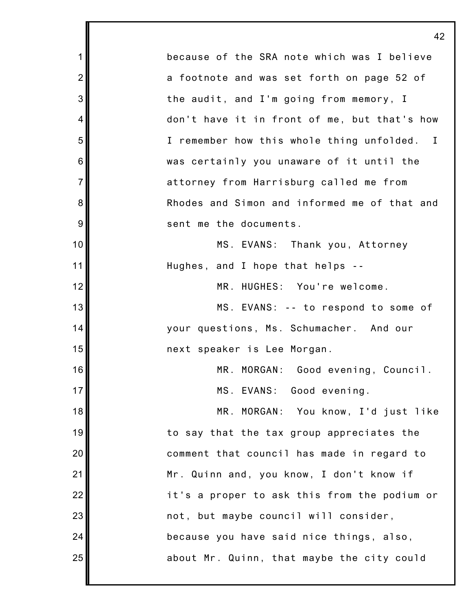1 2 3 4 5 6 7 8 9 10 11 12 13 14 15 16 17 18 19 20 21 22 23 24 25 42 because of the SRA note which was I believe a footnote and was set forth on page 52 of the audit, and I'm going from memory, I don't have it in front of me, but that's how I remember how this whole thing unfolded. I was certainly you unaware of it until the attorney from Harrisburg called me from Rhodes and Simon and informed me of that and sent me the documents. MS. EVANS: Thank you, Attorney Hughes, and I hope that helps -- MR. HUGHES: You're welcome. MS. EVANS: -- to respond to some of your questions, Ms. Schumacher. And our next speaker is Lee Morgan. MR. MORGAN: Good evening, Council. MS. EVANS: Good evening. MR. MORGAN: You know, I'd just like to say that the tax group appreciates the comment that council has made in regard to Mr. Quinn and, you know, I don't know if it's a proper to ask this from the podium or not, but maybe council will consider, because you have said nice things, also, about Mr. Quinn, that maybe the city could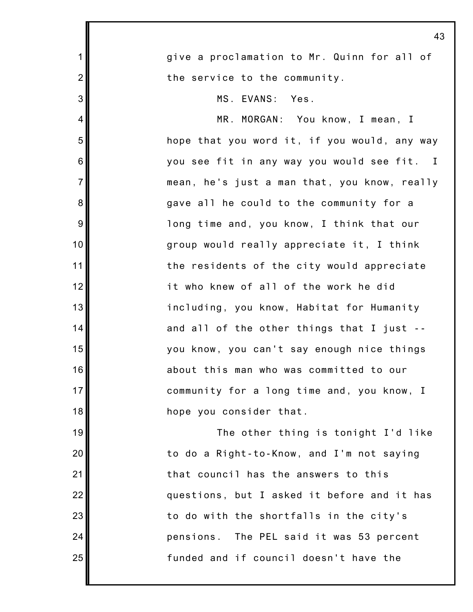|                | 4.                                           |
|----------------|----------------------------------------------|
| $\mathbf{1}$   | give a proclamation to Mr. Quinn for all of  |
| $\overline{2}$ | the service to the community.                |
| 3              | MS. EVANS: Yes.                              |
| $\overline{4}$ | MR. MORGAN: You know, I mean, I              |
| 5              | hope that you word it, if you would, any way |
| $6\phantom{1}$ | you see fit in any way you would see fit. I  |
| $\overline{7}$ | mean, he's just a man that, you know, really |
| $\bf 8$        | gave all he could to the community for a     |
| 9              | long time and, you know, I think that our    |
| 10             | group would really appreciate it, I think    |
| 11             | the residents of the city would appreciate   |
| 12             | it who knew of all of the work he did        |
| 13             | including, you know, Habitat for Humanity    |
| 14             | and all of the other things that I just --   |
| 15             | you know, you can't say enough nice things   |
| 16             | about this man who was committed to our      |
| 17             | community for a long time and, you know, I   |
| 18             | hope you consider that.                      |
| 19             | The other thing is tonight I'd like          |
| 20             | to do a Right-to-Know, and I'm not saying    |
| 21             | that council has the answers to this         |
| 22             | questions, but I asked it before and it has  |
| 23             | to do with the shortfalls in the city's      |
| 24             | pensions. The PEL said it was 53 percent     |
| 25             | funded and if council doesn't have the       |
|                |                                              |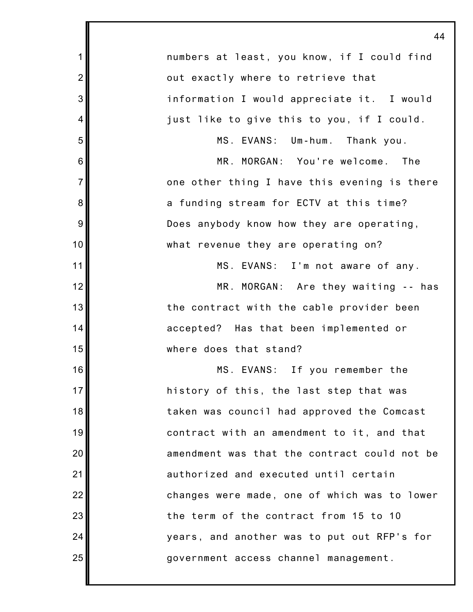|                | 44                                           |
|----------------|----------------------------------------------|
| $\mathbf 1$    | numbers at least, you know, if I could find  |
| $\overline{2}$ | out exactly where to retrieve that           |
| 3              | information I would appreciate it. I would   |
| 4              | just like to give this to you, if I could.   |
| 5              | MS. EVANS: Um-hum. Thank you.                |
| 6              | MR. MORGAN: You're welcome.<br>The           |
| $\overline{7}$ | one other thing I have this evening is there |
| 8              | a funding stream for ECTV at this time?      |
| 9              | Does anybody know how they are operating,    |
| 10             | what revenue they are operating on?          |
| 11             | MS. EVANS: I'm not aware of any.             |
| 12             | MR. MORGAN: Are they waiting -- has          |
| 13             | the contract with the cable provider been    |
| 14             | accepted? Has that been implemented or       |
| 15             | where does that stand?                       |
| 16             | MS. EVANS: If you remember the               |
| 17             | history of this, the last step that was      |
| 18             | taken was council had approved the Comcast   |
| 19             | contract with an amendment to it, and that   |
| 20             | amendment was that the contract could not be |
| 21             | authorized and executed until certain        |
| 22             | changes were made, one of which was to lower |
| 23             | the term of the contract from 15 to 10       |
| 24             | years, and another was to put out RFP's for  |
| 25             | government access channel management.        |
|                |                                              |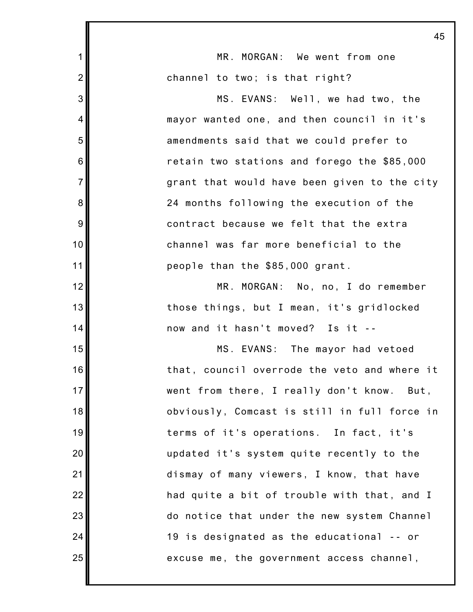|                | 45                                           |
|----------------|----------------------------------------------|
| $\mathbf 1$    | MR. MORGAN: We went from one                 |
| $\overline{2}$ | channel to two; is that right?               |
| 3              | MS. EVANS: Well, we had two, the             |
| 4              | mayor wanted one, and then council in it's   |
| 5              | amendments said that we could prefer to      |
| 6              | retain two stations and forego the \$85,000  |
| $\overline{7}$ | grant that would have been given to the city |
| 8              | 24 months following the execution of the     |
| 9              | contract because we felt that the extra      |
| 10             | channel was far more beneficial to the       |
| 11             | people than the \$85,000 grant.              |
| 12             | MR. MORGAN: No, no, I do remember            |
| 13             | those things, but I mean, it's gridlocked    |
| 14             | now and it hasn't moved? Is it --            |
| 15             | MS. EVANS: The mayor had vetoed              |
| 16             | that, council overrode the veto and where it |
| 17             | went from there, I really don't know. But,   |
| 18             | obviously, Comcast is still in full force in |
| 19             | terms of it's operations. In fact, it's      |
| 20             | updated it's system quite recently to the    |
| 21             | dismay of many viewers, I know, that have    |
| 22             | had quite a bit of trouble with that, and I  |
| 23             | do notice that under the new system Channel  |
| 24             | 19 is designated as the educational -- or    |
| 25             | excuse me, the government access channel,    |
|                |                                              |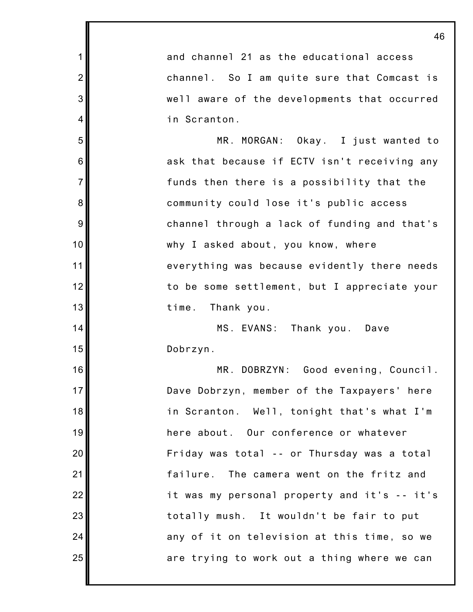|                | 46                                           |
|----------------|----------------------------------------------|
| 1              | and channel 21 as the educational access     |
| $\overline{2}$ | channel. So I am quite sure that Comcast is  |
| 3              | well aware of the developments that occurred |
| 4              | in Scranton.                                 |
| 5              | MR. MORGAN: Okay. I just wanted to           |
| 6              | ask that because if ECTV isn't receiving any |
| $\overline{7}$ | funds then there is a possibility that the   |
| 8              | community could lose it's public access      |
| 9              | channel through a lack of funding and that's |
| 10             | why I asked about, you know, where           |
| 11             | everything was because evidently there needs |
| 12             | to be some settlement, but I appreciate your |
| 13             | time.<br>Thank you.                          |
| 14             | MS. EVANS: Thank you. Dave                   |
| 15             | Dobrzyn.                                     |
| 16             | MR. DOBRZYN:<br>Good evening, Council.       |
| 17             | Dave Dobrzyn, member of the Taxpayers' here  |
| 18             | in Scranton. Well, tonight that's what I'm   |
| 19             | here about. Our conference or whatever       |
| 20             | Friday was total -- or Thursday was a total  |
| 21             | failure. The camera went on the fritz and    |
| 22             | it was my personal property and it's -- it's |
| 23             | totally mush. It wouldn't be fair to put     |
| 24             | any of it on television at this time, so we  |
| 25             | are trying to work out a thing where we can  |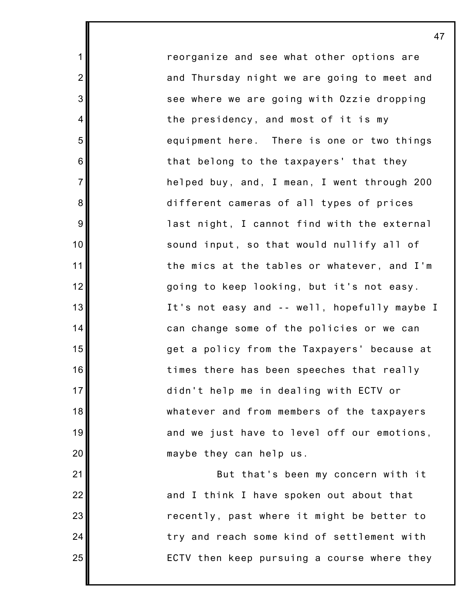reorganize and see what other options are and Thursday night we are going to meet and see where we are going with Ozzie dropping the presidency, and most of it is my equipment here. There is one or two things that belong to the taxpayers' that they helped buy, and, I mean, I went through 200 different cameras of all types of prices last night, I cannot find with the external sound input, so that would nullify all of the mics at the tables or whatever, and I'm going to keep looking, but it's not easy. It's not easy and -- well, hopefully maybe I can change some of the policies or we can get a policy from the Taxpayers' because at times there has been speeches that really didn't help me in dealing with ECTV or whatever and from members of the taxpayers and we just have to level off our emotions, maybe they can help us.

1

2

3

4

5

6

7

8

9

10

11

12

13

14

15

16

17

18

19

20

21

22

23

24

25

But that's been my concern with it and I think I have spoken out about that recently, past where it might be better to try and reach some kind of settlement with ECTV then keep pursuing a course where they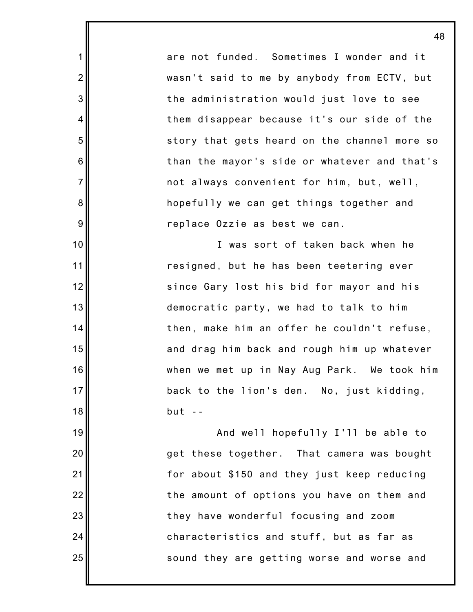are not funded. Sometimes I wonder and it wasn't said to me by anybody from ECTV, but the administration would just love to see them disappear because it's our side of the story that gets heard on the channel more so than the mayor's side or whatever and that's not always convenient for him, but, well, hopefully we can get things together and replace Ozzie as best we can.

1

2

3

4

5

6

7

8

9

10

11

12

13

14

15

16

17

18

19

20

21

22

23

24

25

I was sort of taken back when he resigned, but he has been teetering ever since Gary lost his bid for mayor and his democratic party, we had to talk to him then, make him an offer he couldn't refuse, and drag him back and rough him up whatever when we met up in Nay Aug Park. We took him back to the lion's den. No, just kidding,  $but - -$ 

And well hopefully I'll be able to get these together. That camera was bought for about \$150 and they just keep reducing the amount of options you have on them and they have wonderful focusing and zoom characteristics and stuff, but as far as sound they are getting worse and worse and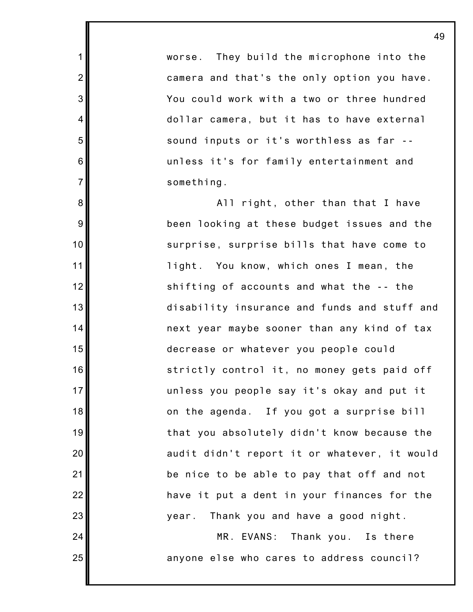worse. They build the microphone into the camera and that's the only option you have. You could work with a two or three hundred dollar camera, but it has to have external sound inputs or it's worthless as far - unless it's for family entertainment and something.

1

2

3

4

5

6

7

8

9

10

11

12

13

14

15

16

17

18

19

20

21

22

23

24

25

All right, other than that I have been looking at these budget issues and the surprise, surprise bills that have come to light. You know, which ones I mean, the shifting of accounts and what the -- the disability insurance and funds and stuff and next year maybe sooner than any kind of tax decrease or whatever you people could strictly control it, no money gets paid off unless you people say it's okay and put it on the agenda. If you got a surprise bill that you absolutely didn't know because the audit didn't report it or whatever, it would be nice to be able to pay that off and not have it put a dent in your finances for the year. Thank you and have a good night.

MR. EVANS: Thank you. Is there anyone else who cares to address council?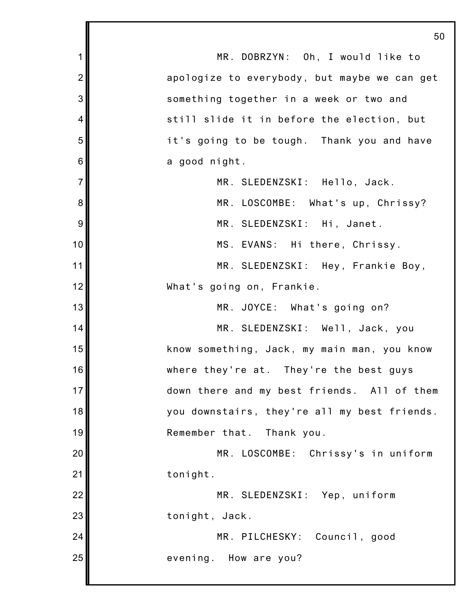1 2 3 4 5 6 7 8 9 10 11 12 13 14 15 16 17 18 19 20 21 22 23 24 25 50 MR. DOBRZYN: Oh, I would like to apologize to everybody, but maybe we can get something together in a week or two and still slide it in before the election, but it's going to be tough. Thank you and have a good night. MR. SLEDENZSKI: Hello, Jack. MR. LOSCOMBE: What's up, Chrissy? MR. SLEDENZSKI: Hi, Janet. MS. EVANS: Hi there, Chrissy. MR. SLEDENZSKI: Hey, Frankie Boy, What's going on, Frankie. MR. JOYCE: What's going on? MR. SLEDENZSKI: Well, Jack, you know something, Jack, my main man, you know where they're at. They're the best guys down there and my best friends. All of them you downstairs, they're all my best friends. Remember that. Thank you. MR. LOSCOMBE: Chrissy's in uniform tonight. MR. SLEDENZSKI: Yep, uniform tonight, Jack. MR. PILCHESKY: Council, good evening. How are you?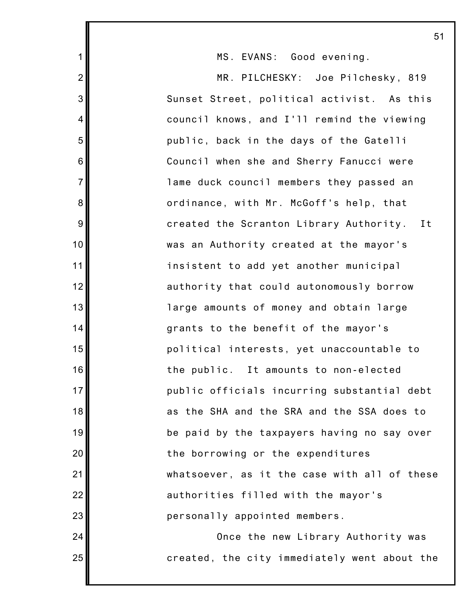MS. EVANS: Good evening.

1

2

3

4

5

6

7

8

9

10

11

12

13

14

15

16

17

18

19

20

21

22

23

24

25

MR. PILCHESKY: Joe Pilchesky, 819 Sunset Street, political activist. As this council knows, and I'll remind the viewing public, back in the days of the Gatelli Council when she and Sherry Fanucci were lame duck council members they passed an ordinance, with Mr. McGoff's help, that created the Scranton Library Authority. It was an Authority created at the mayor's insistent to add yet another municipal authority that could autonomously borrow large amounts of money and obtain large grants to the benefit of the mayor's political interests, yet unaccountable to the public. It amounts to non-elected public officials incurring substantial debt as the SHA and the SRA and the SSA does to be paid by the taxpayers having no say over the borrowing or the expenditures whatsoever, as it the case with all of these authorities filled with the mayor's personally appointed members. Once the new Library Authority was

created, the city immediately went about the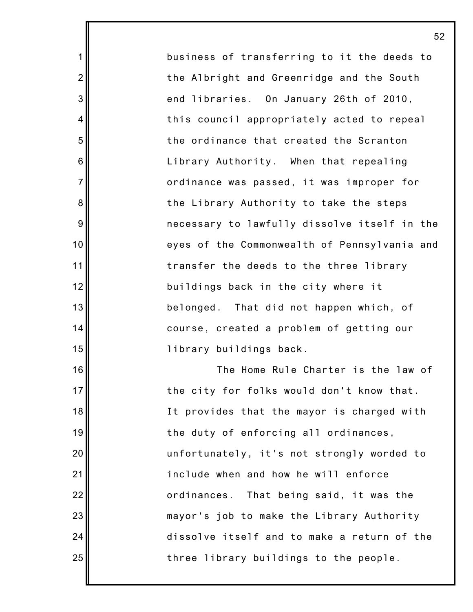business of transferring to it the deeds to the Albright and Greenridge and the South end libraries. On January 26th of 2010, this council appropriately acted to repeal the ordinance that created the Scranton Library Authority. When that repealing ordinance was passed, it was improper for the Library Authority to take the steps necessary to lawfully dissolve itself in the eyes of the Commonwealth of Pennsylvania and transfer the deeds to the three library buildings back in the city where it belonged. That did not happen which, of course, created a problem of getting our library buildings back.

1

2

3

4

5

6

7

8

9

10

11

12

13

14

15

16

17

18

19

20

21

22

23

24

25

The Home Rule Charter is the law of the city for folks would don't know that. It provides that the mayor is charged with the duty of enforcing all ordinances, unfortunately, it's not strongly worded to include when and how he will enforce ordinances. That being said, it was the mayor's job to make the Library Authority dissolve itself and to make a return of the three library buildings to the people.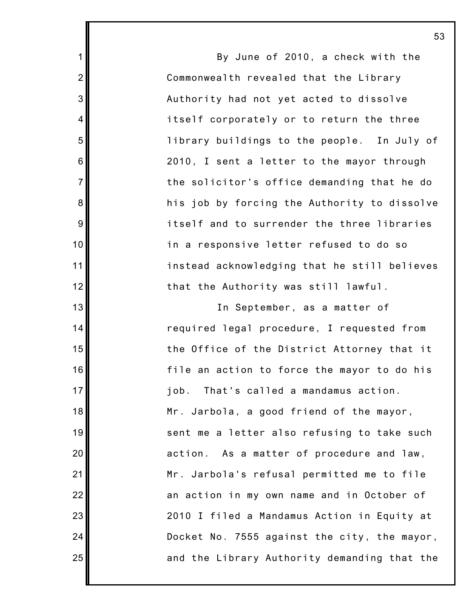By June of 2010, a check with the Commonwealth revealed that the Library Authority had not yet acted to dissolve itself corporately or to return the three library buildings to the people. In July of 2010, I sent a letter to the mayor through the solicitor's office demanding that he do his job by forcing the Authority to dissolve itself and to surrender the three libraries in a responsive letter refused to do so instead acknowledging that he still believes that the Authority was still lawful.

1

2

3

4

5

6

7

8

9

10

11

12

13

14

15

16

17

18

19

20

21

22

23

24

25

In September, as a matter of required legal procedure, I requested from the Office of the District Attorney that it file an action to force the mayor to do his job. That's called a mandamus action. Mr. Jarbola, a good friend of the mayor, sent me a letter also refusing to take such action. As a matter of procedure and law, Mr. Jarbola's refusal permitted me to file an action in my own name and in October of 2010 I filed a Mandamus Action in Equity at Docket No. 7555 against the city, the mayor, and the Library Authority demanding that the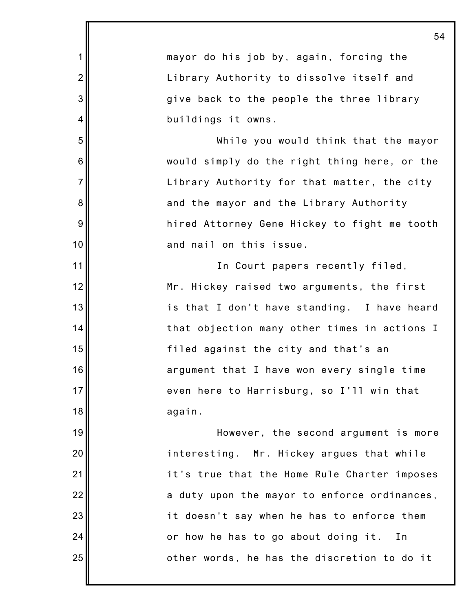1 2 3 4 5 6 7 8 9 10 11 12 13 14 15 16 17 18 19 20 21 22 23 24 25 54 mayor do his job by, again, forcing the Library Authority to dissolve itself and give back to the people the three library buildings it owns. While you would think that the mayor would simply do the right thing here, or the Library Authority for that matter, the city and the mayor and the Library Authority hired Attorney Gene Hickey to fight me tooth and nail on this issue. In Court papers recently filed, Mr. Hickey raised two arguments, the first is that I don't have standing. I have heard that objection many other times in actions I filed against the city and that's an argument that I have won every single time even here to Harrisburg, so I'll win that again. However, the second argument is more interesting. Mr. Hickey argues that while it's true that the Home Rule Charter imposes a duty upon the mayor to enforce ordinances, it doesn't say when he has to enforce them or how he has to go about doing it. In other words, he has the discretion to do it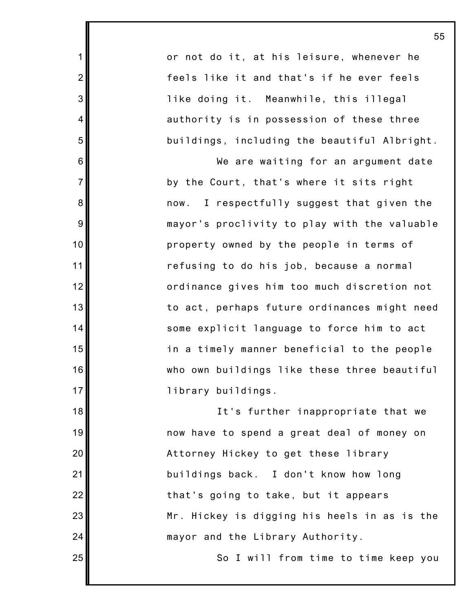or not do it, at his leisure, whenever he feels like it and that's if he ever feels like doing it. Meanwhile, this illegal authority is in possession of these three buildings, including the beautiful Albright.

1

2

3

4

5

6

7

8

9

10

11

12

13

14

15

16

17

18

19

20

21

22

23

24

25

We are waiting for an argument date by the Court, that's where it sits right now. I respectfully suggest that given the mayor's proclivity to play with the valuable property owned by the people in terms of refusing to do his job, because a normal ordinance gives him too much discretion not to act, perhaps future ordinances might need some explicit language to force him to act in a timely manner beneficial to the people who own buildings like these three beautiful library buildings.

It's further inappropriate that we now have to spend a great deal of money on Attorney Hickey to get these library buildings back. I don't know how long that's going to take, but it appears Mr. Hickey is digging his heels in as is the mayor and the Library Authority.

So I will from time to time keep you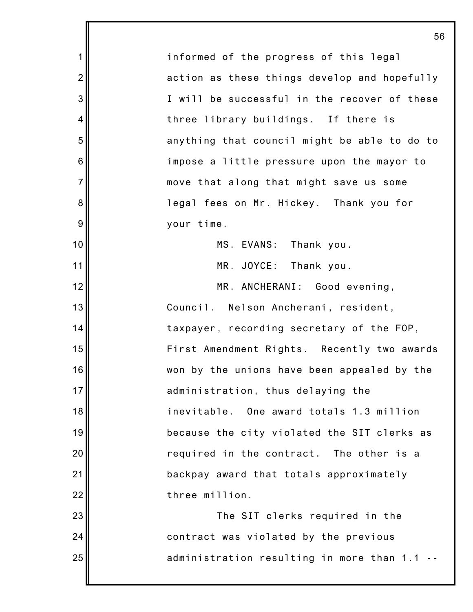informed of the progress of this legal action as these things develop and hopefully I will be successful in the recover of these three library buildings. If there is anything that council might be able to do to impose a little pressure upon the mayor to move that along that might save us some legal fees on Mr. Hickey. Thank you for your time. MS. EVANS: Thank you. MR. JOYCE: Thank you. MR. ANCHERANI: Good evening, Council. Nelson Ancherani, resident, taxpayer, recording secretary of the FOP, First Amendment Rights. Recently two awards won by the unions have been appealed by the administration, thus delaying the inevitable. One award totals 1.3 million because the city violated the SIT clerks as required in the contract. The other is a backpay award that totals approximately three million. The SIT clerks required in the contract was violated by the previous

1

2

3

4

5

6

7

8

9

10

11

12

13

14

15

16

17

18

19

20

21

22

23

24

25

administration resulting in more than 1.1 --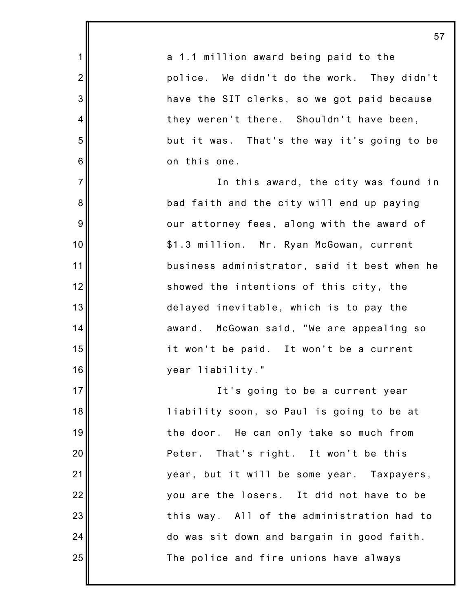a 1.1 million award being paid to the police. We didn't do the work. They didn't have the SIT clerks, so we got paid because they weren't there. Shouldn't have been, but it was. That's the way it's going to be on this one.

1

2

3

4

5

6

7

8

9

10

11

12

13

14

15

16

17

18

19

20

21

22

23

24

25

In this award, the city was found in bad faith and the city will end up paying our attorney fees, along with the award of \$1.3 million. Mr. Ryan McGowan, current business administrator, said it best when he showed the intentions of this city, the delayed inevitable, which is to pay the award. McGowan said, "We are appealing so it won't be paid. It won't be a current year liability."

It's going to be a current year liability soon, so Paul is going to be at the door. He can only take so much from Peter. That's right. It won't be this year, but it will be some year. Taxpayers, you are the losers. It did not have to be this way. All of the administration had to do was sit down and bargain in good faith. The police and fire unions have always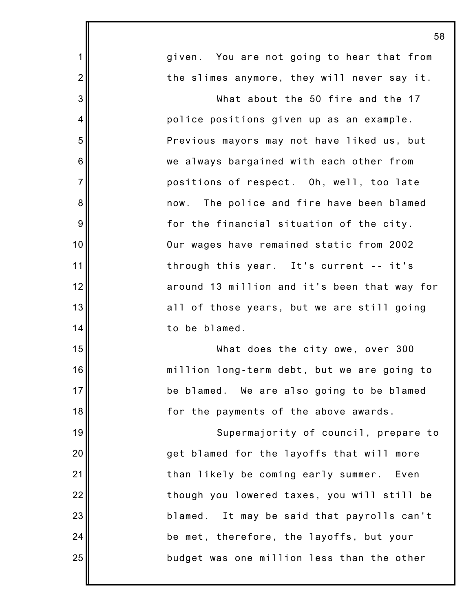| 58                                           |
|----------------------------------------------|
| given. You are not going to hear that from   |
| the slimes anymore, they will never say it.  |
| What about the 50 fire and the 17            |
| police positions given up as an example.     |
| Previous mayors may not have liked us, but   |
| we always bargained with each other from     |
| positions of respect. Oh, well, too late     |
| now. The police and fire have been blamed    |
| for the financial situation of the city.     |
| Our wages have remained static from 2002     |
| through this year. It's current -- it's      |
| around 13 million and it's been that way for |
| all of those years, but we are still going   |
| to be blamed.                                |
| What does the city owe, over 300             |
| million long-term debt, but we are going to  |
| be blamed. We are also going to be blamed    |
| for the payments of the above awards.        |
| Supermajority of council, prepare to         |
| get blamed for the layoffs that will more    |
| than likely be coming early summer. Even     |
| though you lowered taxes, you will still be  |
| blamed. It may be said that payrolls can't   |
| be met, therefore, the layoffs, but your     |
| budget was one million less than the other   |
|                                              |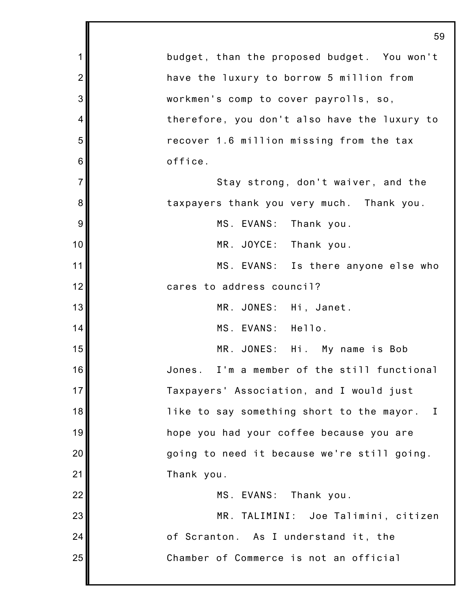|                | 5Ş                                           |
|----------------|----------------------------------------------|
| $\mathbf 1$    | budget, than the proposed budget. You won't  |
| $\overline{2}$ | have the luxury to borrow 5 million from     |
| 3              | workmen's comp to cover payrolls, so,        |
| 4              | therefore, you don't also have the luxury to |
| 5              | recover 1.6 million missing from the tax     |
| $6\,$          | office.                                      |
| $\overline{7}$ | Stay strong, don't waiver, and the           |
| 8              | taxpayers thank you very much. Thank you.    |
| 9              | MS. EVANS: Thank you.                        |
| 10             | MR. JOYCE: Thank you.                        |
| 11             | MS. EVANS: Is there anyone else who          |
| 12             | cares to address council?                    |
| 13             | MR. JONES: Hi, Janet.                        |
| 14             | MS. EVANS: Hello.                            |
| 15             | MR. JONES: Hi. My name is Bob                |
| 16             | Jones. I'm a member of the still functional  |
| 17             | Taxpayers' Association, and I would just     |
| 18             | like to say something short to the mayor. I  |
| 19             | hope you had your coffee because you are     |
| 20             | going to need it because we're still going.  |
| 21             | Thank you.                                   |
| 22             | MS. EVANS: Thank you.                        |
| 23             | MR. TALIMINI: Joe Talimini, citizen          |
| 24             | of Scranton. As I understand it, the         |
| 25             | Chamber of Commerce is not an official       |
|                |                                              |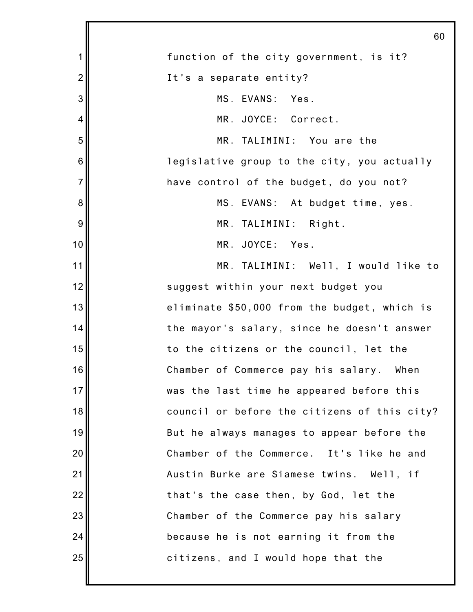|                | 60                                           |
|----------------|----------------------------------------------|
| 1              | function of the city government, is it?      |
| $\overline{2}$ | It's a separate entity?                      |
| 3              | MS. EVANS: Yes.                              |
| 4              | MR. JOYCE: Correct.                          |
| 5              | MR. TALIMINI: You are the                    |
| 6              | legislative group to the city, you actually  |
| $\overline{7}$ | have control of the budget, do you not?      |
| 8              | MS. EVANS: At budget time, yes.              |
| 9              | MR. TALIMINI: Right.                         |
| 10             | MR. JOYCE: Yes.                              |
| 11             | MR. TALIMINI: Well, I would like to          |
| 12             | suggest within your next budget you          |
| 13             | eliminate \$50,000 from the budget, which is |
| 14             | the mayor's salary, since he doesn't answer  |
| 15             | to the citizens or the council, let the      |
| 16             | Chamber of Commerce pay his salary. When     |
| 17             | was the last time he appeared before this    |
| 18             | council or before the citizens of this city? |
| 19             | But he always manages to appear before the   |
| 20             | Chamber of the Commerce. It's like he and    |
| 21             | Austin Burke are Siamese twins. Well, if     |
| 22             | that's the case then, by God, let the        |
| 23             | Chamber of the Commerce pay his salary       |
| 24             | because he is not earning it from the        |
| 25             | citizens, and I would hope that the          |
|                |                                              |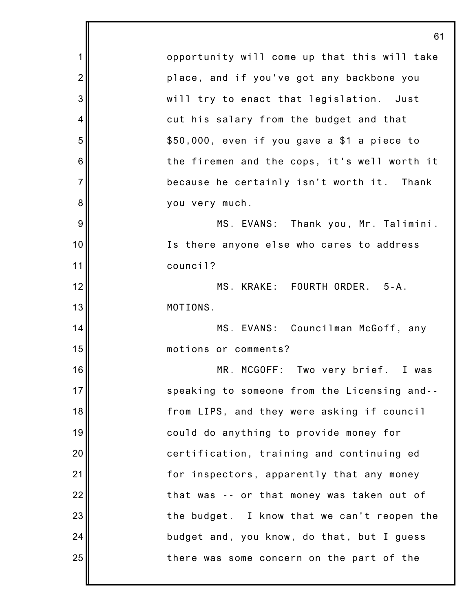1 2 3 4 5 6 7 8 9 10 11 12 13 14 15 16 17 18 19 20 21 22 23 24 25 61 opportunity will come up that this will take place, and if you've got any backbone you will try to enact that legislation. Just cut his salary from the budget and that \$50,000, even if you gave a \$1 a piece to the firemen and the cops, it's well worth it because he certainly isn't worth it. Thank you very much. MS. EVANS: Thank you, Mr. Talimini. Is there anyone else who cares to address council? MS. KRAKE: FOURTH ORDER. 5-A. MOTIONS. MS. EVANS: Councilman McGoff, any motions or comments? MR. MCGOFF: Two very brief. I was speaking to someone from the Licensing and- from LIPS, and they were asking if council could do anything to provide money for certification, training and continuing ed for inspectors, apparently that any money that was -- or that money was taken out of the budget. I know that we can't reopen the budget and, you know, do that, but I guess there was some concern on the part of the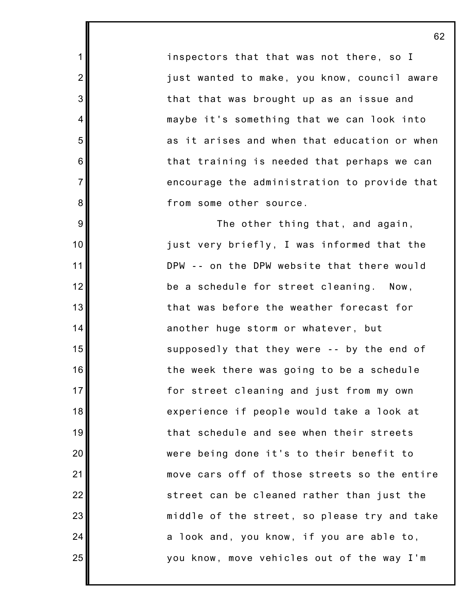inspectors that that was not there, so I just wanted to make, you know, council aware that that was brought up as an issue and maybe it's something that we can look into as it arises and when that education or when that training is needed that perhaps we can encourage the administration to provide that from some other source.

1

2

3

4

5

6

7

8

9

10

11

12

13

14

15

16

17

18

19

20

21

22

23

24

25

The other thing that, and again, just very briefly, I was informed that the DPW -- on the DPW website that there would be a schedule for street cleaning. Now, that was before the weather forecast for another huge storm or whatever, but supposedly that they were -- by the end of the week there was going to be a schedule for street cleaning and just from my own experience if people would take a look at that schedule and see when their streets were being done it's to their benefit to move cars off of those streets so the entire street can be cleaned rather than just the middle of the street, so please try and take a look and, you know, if you are able to, you know, move vehicles out of the way I'm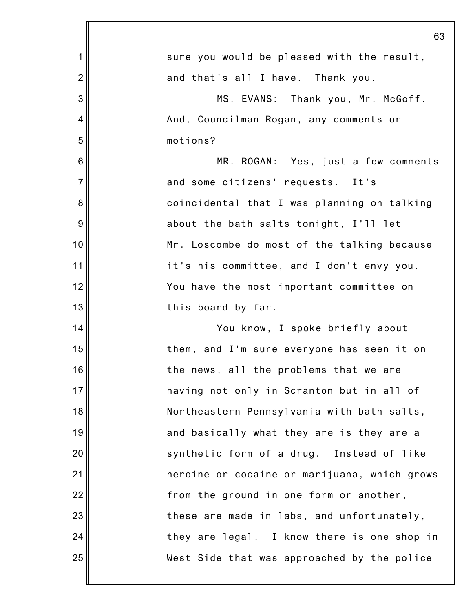|                | 63                                           |
|----------------|----------------------------------------------|
| 1              | sure you would be pleased with the result,   |
| $\overline{2}$ | and that's all I have. Thank you.            |
| 3              | MS. EVANS: Thank you, Mr. McGoff.            |
| $\overline{4}$ | And, Councilman Rogan, any comments or       |
| 5              | motions?                                     |
| 6              | MR. ROGAN: Yes, just a few comments          |
| $\overline{7}$ | and some citizens' requests. It's            |
| 8              | coincidental that I was planning on talking  |
| 9              | about the bath salts tonight, I'll let       |
| 10             | Mr. Loscombe do most of the talking because  |
| 11             | it's his committee, and I don't envy you.    |
| 12             | You have the most important committee on     |
| 13             | this board by far.                           |
| 14             | You know, I spoke briefly about              |
| 15             | them, and I'm sure everyone has seen it on   |
| 16             | the news, all the problems that we are       |
| 17             | having not only in Scranton but in all of    |
| 18             | Northeastern Pennsylvania with bath salts,   |
| 19             | and basically what they are is they are a    |
| 20             | synthetic form of a drug. Instead of like    |
| 21             | heroine or cocaine or marijuana, which grows |
| 22             | from the ground in one form or another,      |
| 23             | these are made in labs, and unfortunately,   |
| 24             | they are legal. I know there is one shop in  |
| 25             | West Side that was approached by the police  |
|                |                                              |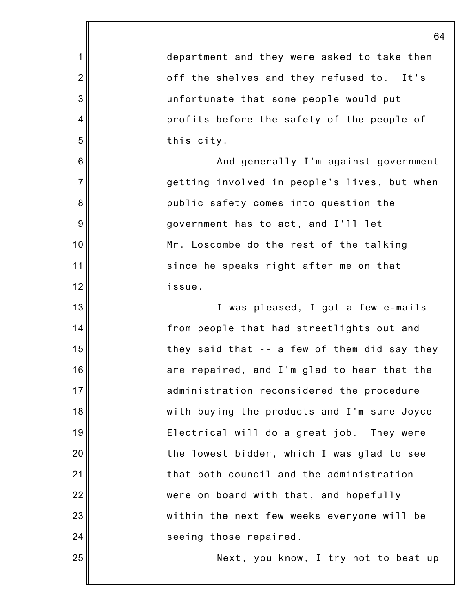department and they were asked to take them off the shelves and they refused to. It's unfortunate that some people would put profits before the safety of the people of this city.

1

2

3

4

5

6

7

8

9

10

11

12

13

14

15

16

17

18

19

20

21

22

23

24

25

And generally I'm against government getting involved in people's lives, but when public safety comes into question the government has to act, and I'll let Mr. Loscombe do the rest of the talking since he speaks right after me on that issue.

I was pleased, I got a few e-mails from people that had streetlights out and they said that -- a few of them did say they are repaired, and I'm glad to hear that the administration reconsidered the procedure with buying the products and I'm sure Joyce Electrical will do a great job. They were the lowest bidder, which I was glad to see that both council and the administration were on board with that, and hopefully within the next few weeks everyone will be seeing those repaired.

Next, you know, I try not to beat up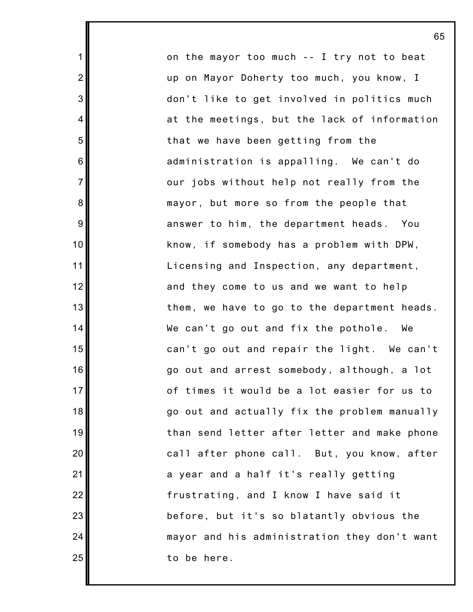on the mayor too much -- I try not to beat up on Mayor Doherty too much, you know, I don't like to get involved in politics much at the meetings, but the lack of information that we have been getting from the administration is appalling. We can't do our jobs without help not really from the mayor, but more so from the people that answer to him, the department heads. You know, if somebody has a problem with DPW, Licensing and Inspection, any department, and they come to us and we want to help them, we have to go to the department heads. We can't go out and fix the pothole. We can't go out and repair the light. We can't go out and arrest somebody, although, a lot of times it would be a lot easier for us to go out and actually fix the problem manually than send letter after letter and make phone call after phone call. But, you know, after a year and a half it's really getting frustrating, and I know I have said it before, but it's so blatantly obvious the mayor and his administration they don't want to be here.

65

1

2

3

4

5

6

7

8

9

10

11

12

13

14

15

16

17

18

19

20

21

22

23

24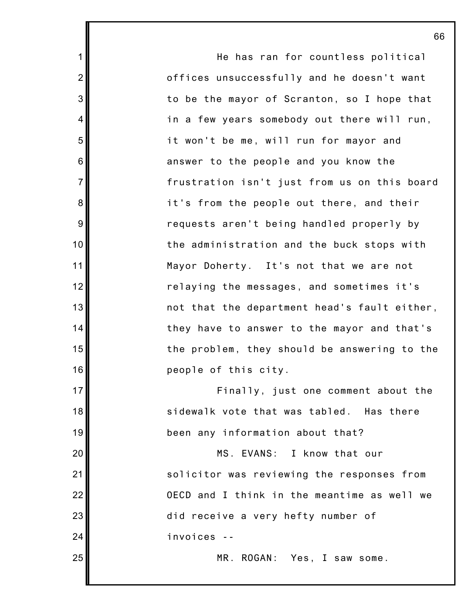He has ran for countless political offices unsuccessfully and he doesn't want to be the mayor of Scranton, so I hope that in a few years somebody out there will run, it won't be me, will run for mayor and answer to the people and you know the frustration isn't just from us on this board it's from the people out there, and their requests aren't being handled properly by the administration and the buck stops with Mayor Doherty. It's not that we are not relaying the messages, and sometimes it's not that the department head's fault either, they have to answer to the mayor and that's the problem, they should be answering to the people of this city.

1

2

3

4

5

6

7

8

9

10

11

12

13

14

15

16

17

18

19

20

21

22

23

24

25

Finally, just one comment about the sidewalk vote that was tabled. Has there been any information about that?

MS. EVANS: I know that our solicitor was reviewing the responses from OECD and I think in the meantime as well we did receive a very hefty number of invoices --

MR. ROGAN: Yes, I saw some.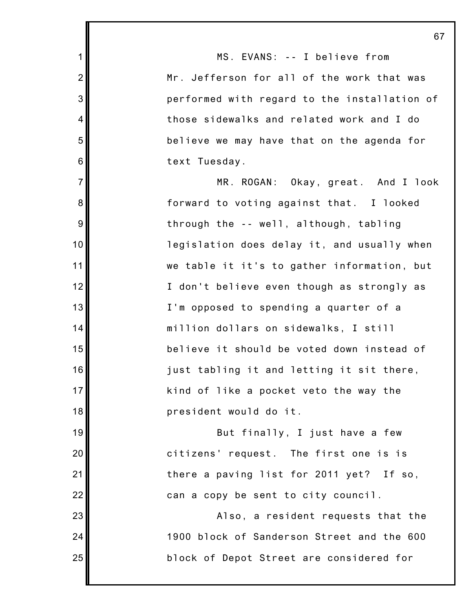|                | 67                                           |
|----------------|----------------------------------------------|
| 1              | MS. EVANS: -- I believe from                 |
| $\overline{2}$ | Mr. Jefferson for all of the work that was   |
| 3              | performed with regard to the installation of |
| $\overline{4}$ | those sidewalks and related work and I do    |
| 5              | believe we may have that on the agenda for   |
| 6              | text Tuesday.                                |
| $\overline{7}$ | MR. ROGAN: Okay, great. And I look           |
| 8              | forward to voting against that. I looked     |
| 9              | through the -- well, although, tabling       |
| 10             | legislation does delay it, and usually when  |
| 11             | we table it it's to gather information, but  |
| 12             | I don't believe even though as strongly as   |
| 13             | I'm opposed to spending a quarter of a       |
| 14             | million dollars on sidewalks, I still        |
| 15             | believe it should be voted down instead of   |
| 16             | just tabling it and letting it sit there,    |
| 17             | kind of like a pocket veto the way the       |
| 18             | president would do it.                       |
| 19             | But finally, I just have a few               |
| 20             | citizens' request. The first one is is       |
| 21             | there a paving list for 2011 yet? If so,     |
| 22             | can a copy be sent to city council.          |
| 23             | Also, a resident requests that the           |
| 24             | 1900 block of Sanderson Street and the 600   |
| 25             | block of Depot Street are considered for     |
|                |                                              |

 $\overline{\phantom{a}}$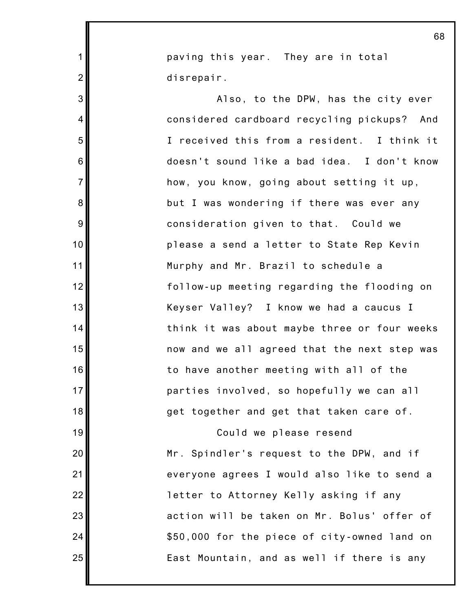paving this year. They are in total disrepair.

1

2

3

4

5

6

7

8

9

10

11

12

13

14

15

16

17

18

19

20

21

22

23

24

25

Also, to the DPW, has the city ever considered cardboard recycling pickups? And I received this from a resident. I think it doesn't sound like a bad idea. I don't know how, you know, going about setting it up, but I was wondering if there was ever any consideration given to that. Could we please a send a letter to State Rep Kevin Murphy and Mr. Brazil to schedule a follow-up meeting regarding the flooding on Keyser Valley? I know we had a caucus I think it was about maybe three or four weeks now and we all agreed that the next step was to have another meeting with all of the parties involved, so hopefully we can all get together and get that taken care of.

Could we please resend Mr. Spindler's request to the DPW, and if everyone agrees I would also like to send a letter to Attorney Kelly asking if any action will be taken on Mr. Bolus' offer of \$50,000 for the piece of city-owned land on East Mountain, and as well if there is any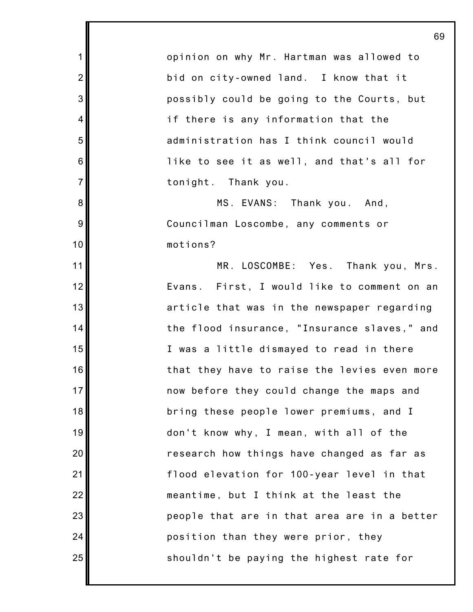opinion on why Mr. Hartman was allowed to bid on city-owned land. I know that it possibly could be going to the Courts, but if there is any information that the administration has I think council would like to see it as well, and that's all for tonight. Thank you.

1

2

3

4

5

6

7

8

9

10

11

12

13

14

15

16

17

18

19

20

21

22

23

24

25

MS. EVANS: Thank you. And, Councilman Loscombe, any comments or motions?

MR. LOSCOMBE: Yes. Thank you, Mrs. Evans. First, I would like to comment on an article that was in the newspaper regarding the flood insurance, "Insurance slaves," and I was a little dismayed to read in there that they have to raise the levies even more now before they could change the maps and bring these people lower premiums, and I don't know why, I mean, with all of the research how things have changed as far as flood elevation for 100-year level in that meantime, but I think at the least the people that are in that area are in a better position than they were prior, they shouldn't be paying the highest rate for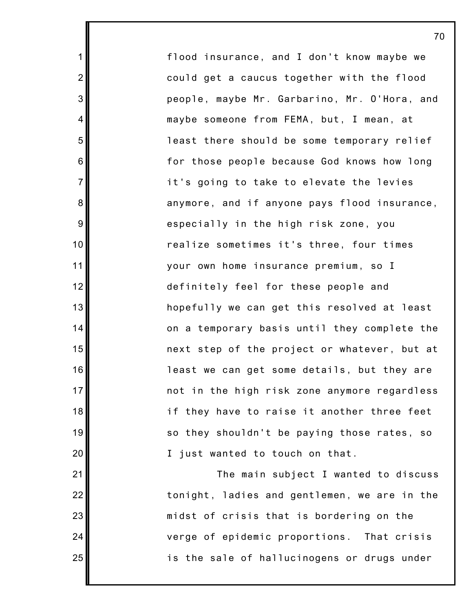flood insurance, and I don't know maybe we could get a caucus together with the flood people, maybe Mr. Garbarino, Mr. O'Hora, and maybe someone from FEMA, but, I mean, at least there should be some temporary relief for those people because God knows how long it's going to take to elevate the levies anymore, and if anyone pays flood insurance, especially in the high risk zone, you realize sometimes it's three, four times your own home insurance premium, so I definitely feel for these people and hopefully we can get this resolved at least on a temporary basis until they complete the next step of the project or whatever, but at least we can get some details, but they are not in the high risk zone anymore regardless if they have to raise it another three feet so they shouldn't be paying those rates, so I just wanted to touch on that.

1

2

3

4

5

6

7

8

9

10

11

12

13

14

15

16

17

18

19

20

21

22

23

24

25

The main subject I wanted to discuss tonight, ladies and gentlemen, we are in the midst of crisis that is bordering on the verge of epidemic proportions. That crisis is the sale of hallucinogens or drugs under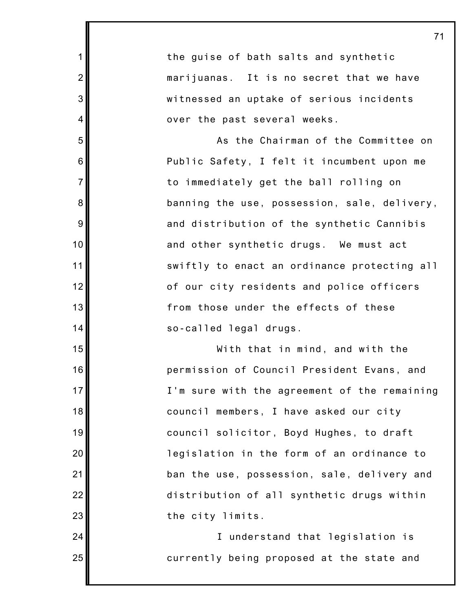1 2 3 4 5 6 7 8 9 10 11 12 13 14 15 16 17 18 19 20 21 22 23 24 25 the guise of bath salts and synthetic marijuanas. It is no secret that we have witnessed an uptake of serious incidents over the past several weeks. As the Chairman of the Committee on Public Safety, I felt it incumbent upon me to immediately get the ball rolling on banning the use, possession, sale, delivery, and distribution of the synthetic Cannibis and other synthetic drugs. We must act swiftly to enact an ordinance protecting all of our city residents and police officers from those under the effects of these so-called legal drugs. With that in mind, and with the permission of Council President Evans, and I'm sure with the agreement of the remaining council members, I have asked our city council solicitor, Boyd Hughes, to draft legislation in the form of an ordinance to ban the use, possession, sale, delivery and distribution of all synthetic drugs within the city limits. I understand that legislation is currently being proposed at the state and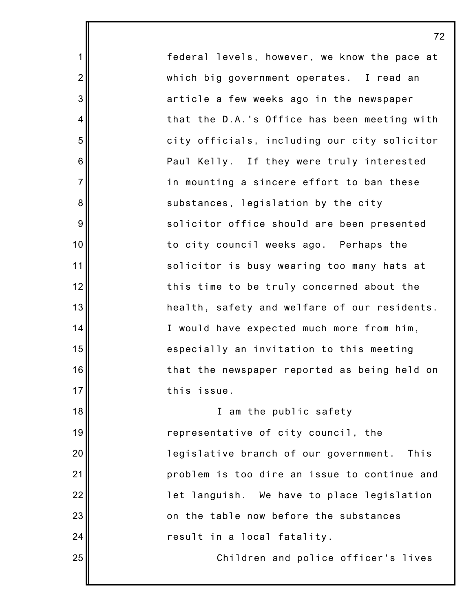federal levels, however, we know the pace at which big government operates. I read an article a few weeks ago in the newspaper that the D.A.'s Office has been meeting with city officials, including our city solicitor Paul Kelly. If they were truly interested in mounting a sincere effort to ban these substances, legislation by the city solicitor office should are been presented to city council weeks ago. Perhaps the solicitor is busy wearing too many hats at this time to be truly concerned about the health, safety and welfare of our residents. I would have expected much more from him, especially an invitation to this meeting that the newspaper reported as being held on this issue.

1

2

3

4

5

6

7

8

9

10

11

12

13

14

15

16

17

18

19

20

21

22

23

24

25

I am the public safety representative of city council, the legislative branch of our government. This problem is too dire an issue to continue and let languish. We have to place legislation on the table now before the substances result in a local fatality.

Children and police officer's lives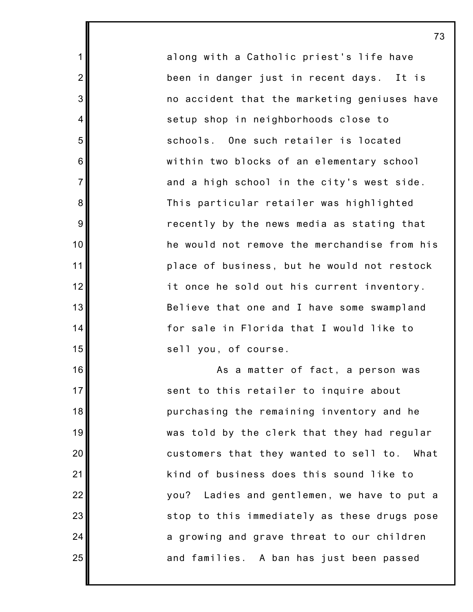along with a Catholic priest's life have been in danger just in recent days. It is no accident that the marketing geniuses have setup shop in neighborhoods close to schools. One such retailer is located within two blocks of an elementary school and a high school in the city's west side. This particular retailer was highlighted recently by the news media as stating that he would not remove the merchandise from his place of business, but he would not restock it once he sold out his current inventory. Believe that one and I have some swampland for sale in Florida that I would like to sell you, of course.

1

2

3

4

5

6

7

8

9

10

11

12

13

14

15

16

17

18

19

20

21

22

23

24

25

As a matter of fact, a person was sent to this retailer to inquire about purchasing the remaining inventory and he was told by the clerk that they had regular customers that they wanted to sell to. What kind of business does this sound like to you? Ladies and gentlemen, we have to put a stop to this immediately as these drugs pose a growing and grave threat to our children and families. A ban has just been passed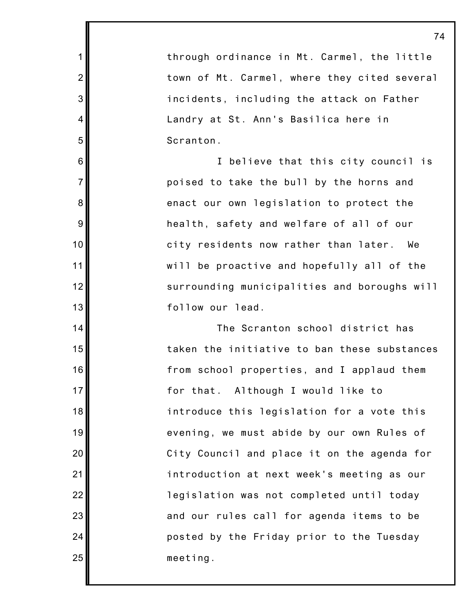through ordinance in Mt. Carmel, the little town of Mt. Carmel, where they cited several incidents, including the attack on Father Landry at St. Ann's Basilica here in Scranton.

1

2

3

4

5

6

7

8

9

10

11

12

13

14

15

16

17

18

19

20

21

22

23

24

25

I believe that this city council is poised to take the bull by the horns and enact our own legislation to protect the health, safety and welfare of all of our city residents now rather than later. We will be proactive and hopefully all of the surrounding municipalities and boroughs will follow our lead.

The Scranton school district has taken the initiative to ban these substances from school properties, and I applaud them for that. Although I would like to introduce this legislation for a vote this evening, we must abide by our own Rules of City Council and place it on the agenda for introduction at next week's meeting as our legislation was not completed until today and our rules call for agenda items to be posted by the Friday prior to the Tuesday meeting.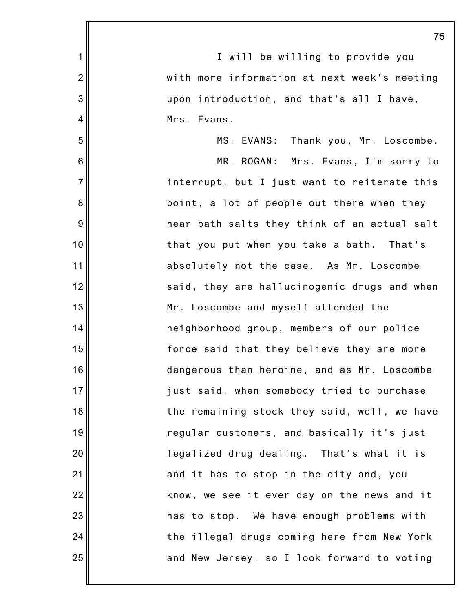|                | 73                                           |
|----------------|----------------------------------------------|
| $\mathbf{1}$   | I will be willing to provide you             |
| $\overline{2}$ | with more information at next week's meeting |
| 3              | upon introduction, and that's all I have,    |
| $\overline{4}$ | Mrs. Evans.                                  |
| 5              | MS. EVANS: Thank you, Mr. Loscombe.          |
| 6              | MR. ROGAN: Mrs. Evans, I'm sorry to          |
| $\overline{7}$ | interrupt, but I just want to reiterate this |
| 8              | point, a lot of people out there when they   |
| 9              | hear bath salts they think of an actual salt |
| 10             | that you put when you take a bath. That's    |
| 11             | absolutely not the case. As Mr. Loscombe     |
| 12             | said, they are hallucinogenic drugs and when |
| 13             | Mr. Loscombe and myself attended the         |
| 14             | neighborhood group, members of our police    |
| 15             | force said that they believe they are more   |
| 16             | dangerous than heroine, and as Mr. Loscombe  |
| 17             | just said, when somebody tried to purchase   |
| 18             | the remaining stock they said, well, we have |
| 19             | regular customers, and basically it's just   |
| 20             | legalized drug dealing. That's what it is    |
| 21             | and it has to stop in the city and, you      |
| 22             | know, we see it ever day on the news and it  |
| 23             | has to stop. We have enough problems with    |
| 24             | the illegal drugs coming here from New York  |
| 25             | and New Jersey, so I look forward to voting  |
|                |                                              |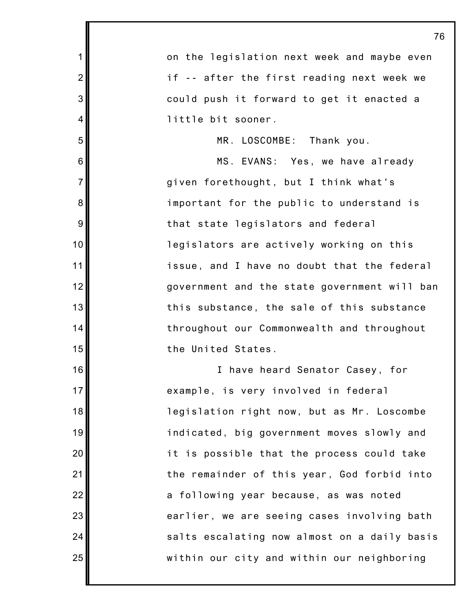|                 | 76                                           |
|-----------------|----------------------------------------------|
| 1               | on the legislation next week and maybe even  |
| $\overline{2}$  | if -- after the first reading next week we   |
| 3               | could push it forward to get it enacted a    |
| $\overline{4}$  | little bit sooner.                           |
| 5               | MR. LOSCOMBE: Thank you.                     |
| $6\phantom{1}6$ | MS. EVANS: Yes, we have already              |
| $\overline{7}$  | given forethought, but I think what's        |
| 8               | important for the public to understand is    |
| 9               | that state legislators and federal           |
| 10              | legislators are actively working on this     |
| 11              | issue, and I have no doubt that the federal  |
| 12              | government and the state government will ban |
| 13              | this substance, the sale of this substance   |
| 14              | throughout our Commonwealth and throughout   |
| 15              | the United States.                           |
| 16              | I have heard Senator Casey, for              |
| 17              | example, is very involved in federal         |
| 18              | legislation right now, but as Mr. Loscombe   |
| 19              | indicated, big government moves slowly and   |
| 20              | it is possible that the process could take   |
| 21              | the remainder of this year, God forbid into  |
| 22              | a following year because, as was noted       |
| 23              | earlier, we are seeing cases involving bath  |
| 24              | salts escalating now almost on a daily basis |
| 25              | within our city and within our neighboring   |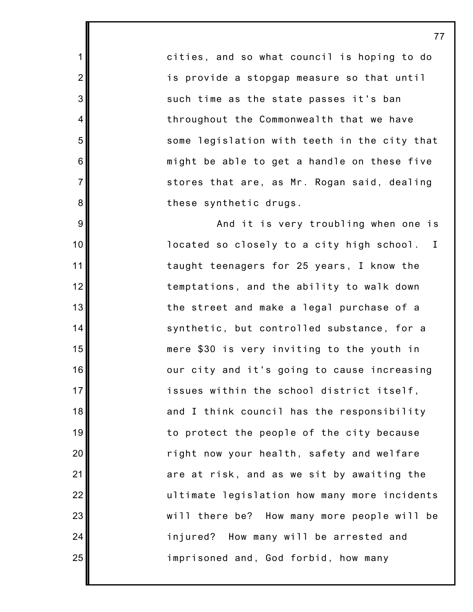cities, and so what council is hoping to do is provide a stopgap measure so that until such time as the state passes it's ban throughout the Commonwealth that we have some legislation with teeth in the city that might be able to get a handle on these five stores that are, as Mr. Rogan said, dealing these synthetic drugs.

77

1

2

3

4

5

6

7

8

9

10

11

12

13

14

15

16

17

18

19

20

21

22

23

24

25

And it is very troubling when one is located so closely to a city high school. I taught teenagers for 25 years, I know the temptations, and the ability to walk down the street and make a legal purchase of a synthetic, but controlled substance, for a mere \$30 is very inviting to the youth in our city and it's going to cause increasing issues within the school district itself, and I think council has the responsibility to protect the people of the city because right now your health, safety and welfare are at risk, and as we sit by awaiting the ultimate legislation how many more incidents will there be? How many more people will be injured? How many will be arrested and imprisoned and, God forbid, how many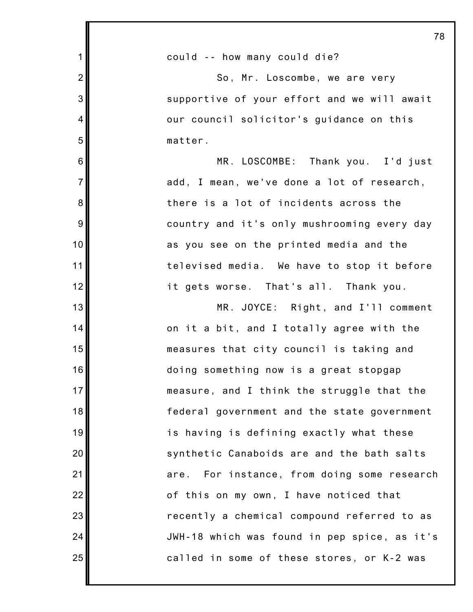|                | 78                                           |
|----------------|----------------------------------------------|
| $\mathbf{1}$   | could -- how many could die?                 |
| $\overline{2}$ | So, Mr. Loscombe, we are very                |
| 3              | supportive of your effort and we will await  |
| 4              | our council solicitor's guidance on this     |
| 5              | matter.                                      |
| 6              | MR. LOSCOMBE: Thank you. I'd just            |
| $\overline{7}$ | add, I mean, we've done a lot of research,   |
| 8              | there is a lot of incidents across the       |
| 9              | country and it's only mushrooming every day  |
| 10             | as you see on the printed media and the      |
| 11             | televised media. We have to stop it before   |
| 12             | it gets worse. That's all. Thank you.        |
| 13             | MR. JOYCE: Right, and I'll comment           |
| 14             | on it a bit, and I totally agree with the    |
| 15             | measures that city council is taking and     |
| 16             | doing something now is a great stopgap       |
| 17             | measure, and I think the struggle that the   |
| 18             | federal government and the state government  |
| 19             | is having is defining exactly what these     |
| 20             | synthetic Canaboids are and the bath salts   |
| 21             | are. For instance, from doing some research  |
| 22             | of this on my own, I have noticed that       |
| 23             | recently a chemical compound referred to as  |
| 24             | JWH-18 which was found in pep spice, as it's |
| 25             | called in some of these stores, or K-2 was   |
|                |                                              |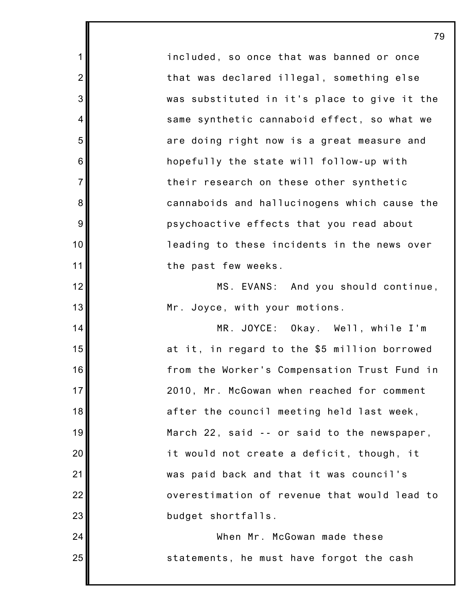included, so once that was banned or once that was declared illegal, something else was substituted in it's place to give it the same synthetic cannaboid effect, so what we are doing right now is a great measure and hopefully the state will follow-up with their research on these other synthetic cannaboids and hallucinogens which cause the psychoactive effects that you read about leading to these incidents in the news over the past few weeks.

1

2

3

4

5

6

7

8

9

10

11

12

13

14

15

16

17

18

19

20

21

22

23

24

25

MS. EVANS: And you should continue, Mr. Joyce, with your motions.

MR. JOYCE: Okay. Well, while I'm at it, in regard to the \$5 million borrowed from the Worker's Compensation Trust Fund in 2010, Mr. McGowan when reached for comment after the council meeting held last week, March 22, said -- or said to the newspaper, it would not create a deficit, though, it was paid back and that it was council's overestimation of revenue that would lead to budget shortfalls.

When Mr. McGowan made these statements, he must have forgot the cash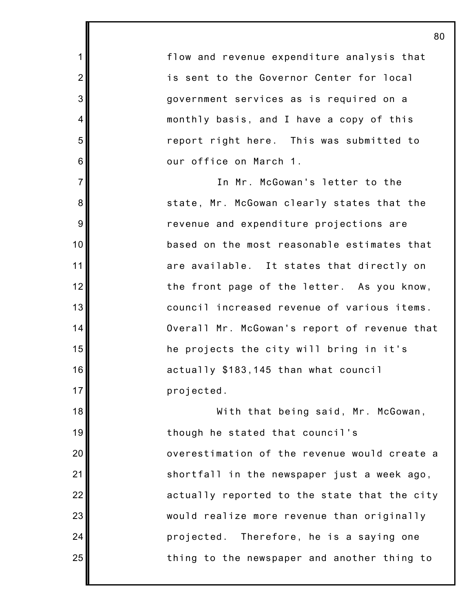flow and revenue expenditure analysis that is sent to the Governor Center for local government services as is required on a monthly basis, and I have a copy of this report right here. This was submitted to our office on March 1.

1

2

3

4

5

6

7

8

9

10

11

12

13

14

15

16

17

18

19

20

21

22

23

24

25

In Mr. McGowan's letter to the state, Mr. McGowan clearly states that the revenue and expenditure projections are based on the most reasonable estimates that are available. It states that directly on the front page of the letter. As you know, council increased revenue of various items. Overall Mr. McGowan's report of revenue that he projects the city will bring in it's actually \$183,145 than what council projected.

With that being said, Mr. McGowan, though he stated that council's overestimation of the revenue would create a shortfall in the newspaper just a week ago, actually reported to the state that the city would realize more revenue than originally projected. Therefore, he is a saying one thing to the newspaper and another thing to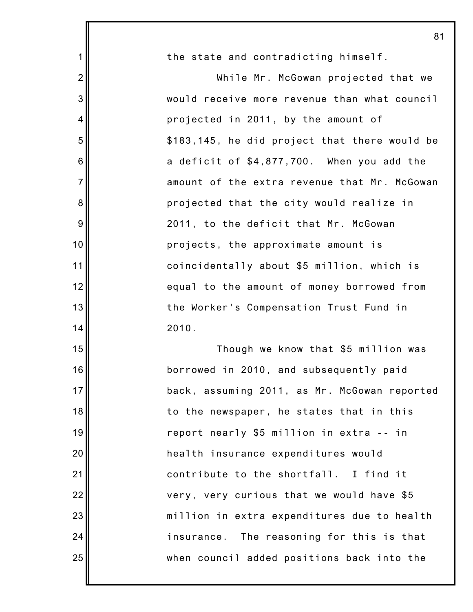| 1              | the state and contradicting himself.          |
|----------------|-----------------------------------------------|
| $\overline{2}$ | While Mr. McGowan projected that we           |
| 3              | would receive more revenue than what council  |
| $\overline{4}$ | projected in 2011, by the amount of           |
| 5              | \$183,145, he did project that there would be |
| $\,6$          | a deficit of \$4,877,700. When you add the    |
| $\overline{7}$ | amount of the extra revenue that Mr. McGowan  |
| $\bf 8$        | projected that the city would realize in      |
| $\overline{9}$ | 2011, to the deficit that Mr. McGowan         |
| 10             | projects, the approximate amount is           |
| 11             | coincidentally about \$5 million, which is    |
| 12             | equal to the amount of money borrowed from    |
| 13             | the Worker's Compensation Trust Fund in       |
| 14             | 2010.                                         |
| 15             | Though we know that \$5 million was           |
| 16             | borrowed in 2010, and subsequently paid       |
| 17             | back, assuming 2011, as Mr. McGowan reported  |
| 18             | to the newspaper, he states that in this      |
| 19             | report nearly \$5 million in extra -- in      |
| 20             | health insurance expenditures would           |
| 21             | contribute to the shortfall. I find it        |
| 22             | very, very curious that we would have \$5     |
| 23             | million in extra expenditures due to health   |
| 24             | insurance. The reasoning for this is that     |
| 25             | when council added positions back into the    |

I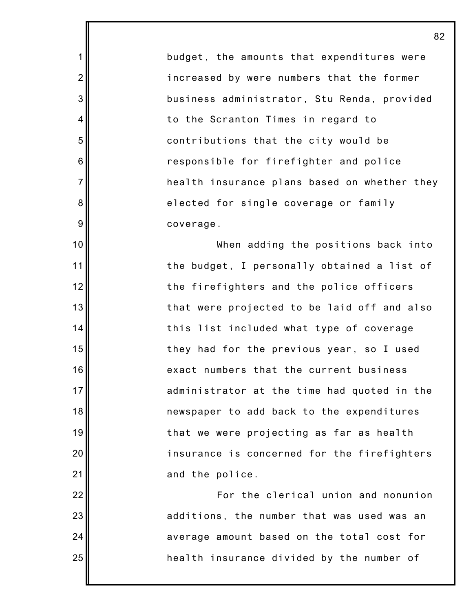budget, the amounts that expenditures were increased by were numbers that the former business administrator, Stu Renda, provided to the Scranton Times in regard to contributions that the city would be responsible for firefighter and police health insurance plans based on whether they elected for single coverage or family coverage.

1

2

3

4

5

6

7

8

9

10

11

12

13

14

15

16

17

18

19

20

21

22

23

24

25

When adding the positions back into the budget, I personally obtained a list of the firefighters and the police officers that were projected to be laid off and also this list included what type of coverage they had for the previous year, so I used exact numbers that the current business administrator at the time had quoted in the newspaper to add back to the expenditures that we were projecting as far as health insurance is concerned for the firefighters and the police.

For the clerical union and nonunion additions, the number that was used was an average amount based on the total cost for health insurance divided by the number of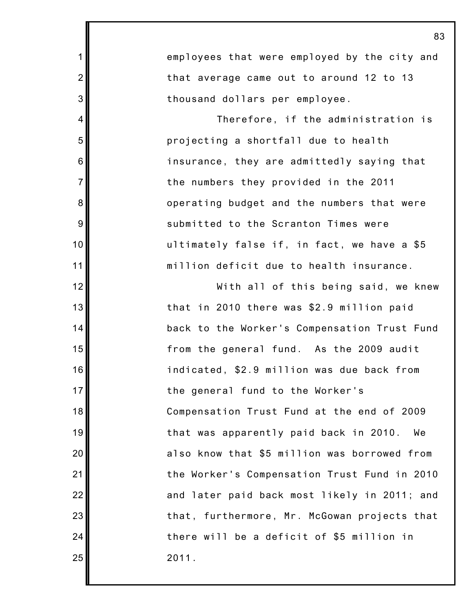|                  | 83                                           |
|------------------|----------------------------------------------|
| $\mathbf 1$      | employees that were employed by the city and |
| $\overline{2}$   | that average came out to around 12 to 13     |
| $\mathbf{3}$     | thousand dollars per employee.               |
| 4                | Therefore, if the administration is          |
| 5                | projecting a shortfall due to health         |
| 6                | insurance, they are admittedly saying that   |
| $\overline{7}$   | the numbers they provided in the 2011        |
| 8                | operating budget and the numbers that were   |
| $\boldsymbol{9}$ | submitted to the Scranton Times were         |
| 10               | ultimately false if, in fact, we have a \$5  |
| 11               | million deficit due to health insurance.     |
| 12               | With all of this being said, we knew         |
| 13               | that in 2010 there was \$2.9 million paid    |
| 14               | back to the Worker's Compensation Trust Fund |
| 15               | from the general fund. As the 2009 audit     |
| 16               | indicated, \$2.9 million was due back from   |
| 17               | the general fund to the Worker's             |
| 18               | Compensation Trust Fund at the end of 2009   |
| 19               | that was apparently paid back in 2010.<br>We |
| 20               | also know that \$5 million was borrowed from |
| 21               | the Worker's Compensation Trust Fund in 2010 |
| 22               | and later paid back most likely in 2011; and |
| 23               | that, furthermore, Mr. McGowan projects that |
| 24               | there will be a deficit of \$5 million in    |
| 25               | 2011.                                        |

I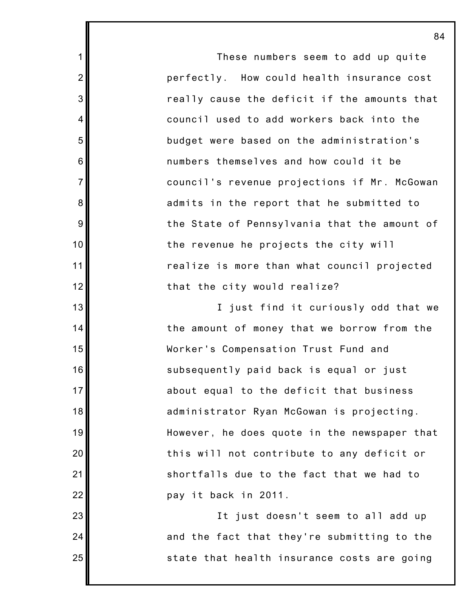These numbers seem to add up quite perfectly. How could health insurance cost really cause the deficit if the amounts that council used to add workers back into the budget were based on the administration's numbers themselves and how could it be council's revenue projections if Mr. McGowan admits in the report that he submitted to the State of Pennsylvania that the amount of the revenue he projects the city will realize is more than what council projected that the city would realize?

1

2

3

4

5

6

7

8

9

10

11

12

13

14

15

16

17

18

19

20

21

22

23

24

25

I just find it curiously odd that we the amount of money that we borrow from the Worker's Compensation Trust Fund and subsequently paid back is equal or just about equal to the deficit that business administrator Ryan McGowan is projecting. However, he does quote in the newspaper that this will not contribute to any deficit or shortfalls due to the fact that we had to pay it back in 2011.

It just doesn't seem to all add up and the fact that they're submitting to the state that health insurance costs are going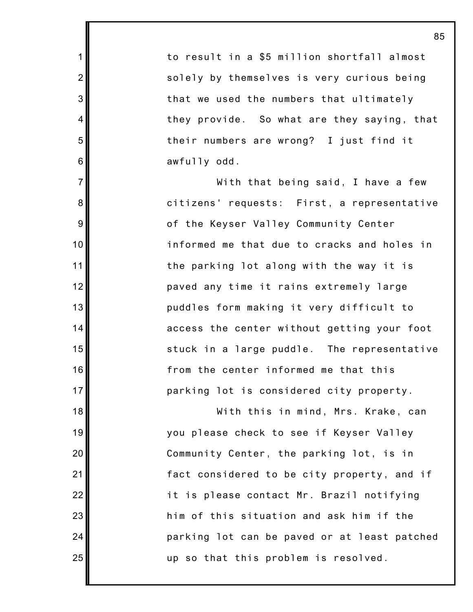to result in a \$5 million shortfall almost solely by themselves is very curious being that we used the numbers that ultimately they provide. So what are they saying, that their numbers are wrong? I just find it awfully odd.

1

2

3

4

5

6

7

8

9

10

11

12

13

14

15

16

17

18

19

20

21

22

23

24

25

With that being said, I have a few citizens' requests: First, a representative of the Keyser Valley Community Center informed me that due to cracks and holes in the parking lot along with the way it is paved any time it rains extremely large puddles form making it very difficult to access the center without getting your foot stuck in a large puddle. The representative from the center informed me that this parking lot is considered city property.

With this in mind, Mrs. Krake, can you please check to see if Keyser Valley Community Center, the parking lot, is in fact considered to be city property, and if it is please contact Mr. Brazil notifying him of this situation and ask him if the parking lot can be paved or at least patched up so that this problem is resolved.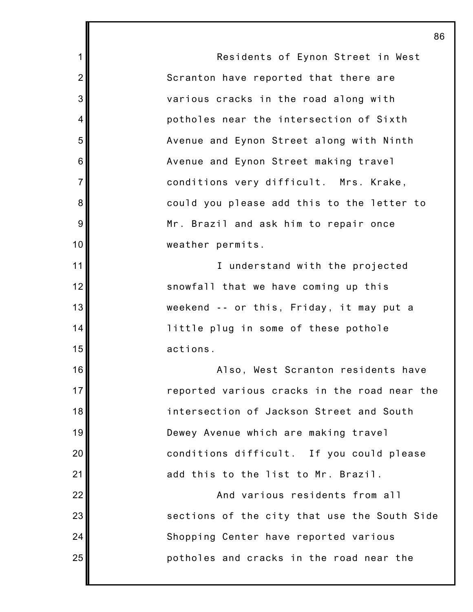Residents of Eynon Street in West Scranton have reported that there are various cracks in the road along with potholes near the intersection of Sixth Avenue and Eynon Street along with Ninth Avenue and Eynon Street making travel conditions very difficult. Mrs. Krake, could you please add this to the letter to Mr. Brazil and ask him to repair once weather permits. I understand with the projected snowfall that we have coming up this weekend -- or this, Friday, it may put a little plug in some of these pothole actions. Also, West Scranton residents have

1

2

3

4

5

6

7

8

9

10

11

12

13

14

15

16

17

18

19

20

21

22

23

24

25

reported various cracks in the road near the intersection of Jackson Street and South Dewey Avenue which are making travel conditions difficult. If you could please add this to the list to Mr. Brazil.

And various residents from all sections of the city that use the South Side Shopping Center have reported various potholes and cracks in the road near the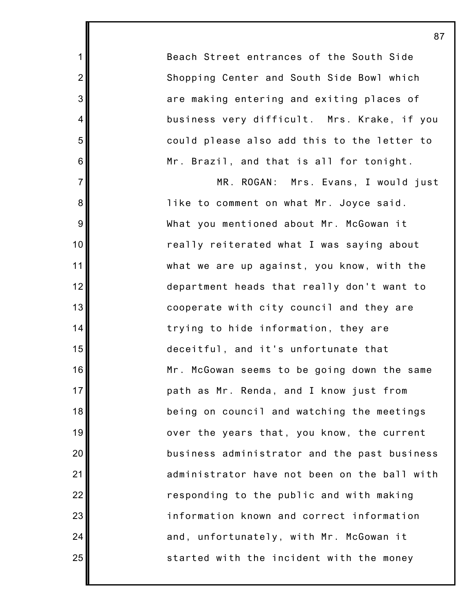Beach Street entrances of the South Side Shopping Center and South Side Bowl which are making entering and exiting places of business very difficult. Mrs. Krake, if you could please also add this to the letter to Mr. Brazil, and that is all for tonight.

1

2

3

4

5

6

7

8

9

10

11

12

13

14

15

16

17

18

19

20

21

22

23

24

25

MR. ROGAN: Mrs. Evans, I would just like to comment on what Mr. Joyce said. What you mentioned about Mr. McGowan it really reiterated what I was saying about what we are up against, you know, with the department heads that really don't want to cooperate with city council and they are trying to hide information, they are deceitful, and it's unfortunate that Mr. McGowan seems to be going down the same path as Mr. Renda, and I know just from being on council and watching the meetings over the years that, you know, the current business administrator and the past business administrator have not been on the ball with responding to the public and with making information known and correct information and, unfortunately, with Mr. McGowan it started with the incident with the money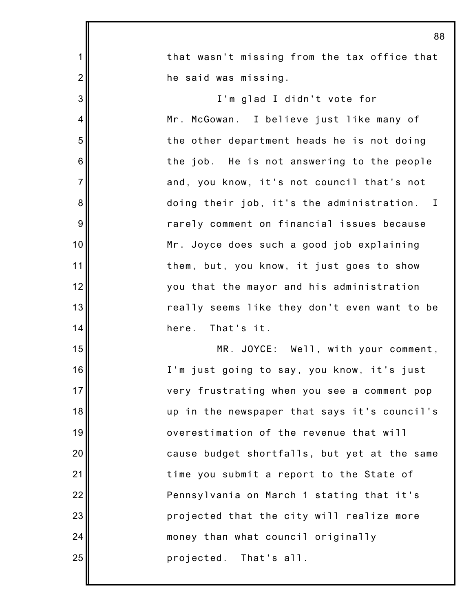|                 | u                                            |
|-----------------|----------------------------------------------|
| 1               | that wasn't missing from the tax office that |
| $\overline{2}$  | he said was missing.                         |
| 3               | I'm glad I didn't vote for                   |
| $\overline{4}$  | Mr. McGowan. I believe just like many of     |
| 5               | the other department heads he is not doing   |
| $6\phantom{1}6$ | the job. He is not answering to the people   |
| $\overline{7}$  | and, you know, it's not council that's not   |
| 8               | doing their job, it's the administration. I  |
| 9               | rarely comment on financial issues because   |
| 10              | Mr. Joyce does such a good job explaining    |
| 11              | them, but, you know, it just goes to show    |
| 12              | you that the mayor and his administration    |
| 13              | really seems like they don't even want to be |
| 14              | here. That's it.                             |
| 15              | MR. JOYCE: Well, with your comment,          |
| 16              | I'm just going to say, you know, it's just   |
| 17              | very frustrating when you see a comment pop  |
| 18              | up in the newspaper that says it's council's |
| 19              | overestimation of the revenue that will      |
| 20              | cause budget shortfalls, but yet at the same |
| 21              | time you submit a report to the State of     |
| 22              | Pennsylvania on March 1 stating that it's    |
| 23              | projected that the city will realize more    |
| 24              | money than what council originally           |
| 25              | projected. That's all.                       |
|                 |                                              |

I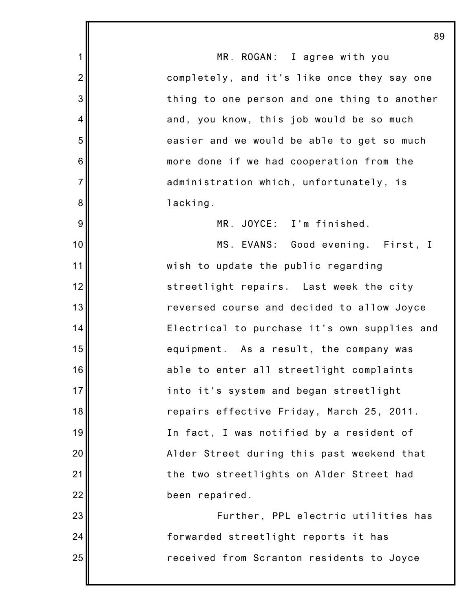MR. ROGAN: I agree with you completely, and it's like once they say one thing to one person and one thing to another and, you know, this job would be so much easier and we would be able to get so much more done if we had cooperation from the administration which, unfortunately, is lacking.

1

2

3

4

5

6

7

8

9

10

11

12

13

14

15

16

17

18

19

20

21

22

23

24

25

MR. JOYCE: I'm finished.

MS. EVANS: Good evening. First, I wish to update the public regarding streetlight repairs. Last week the city reversed course and decided to allow Joyce Electrical to purchase it's own supplies and equipment. As a result, the company was able to enter all streetlight complaints into it's system and began streetlight repairs effective Friday, March 25, 2011. In fact, I was notified by a resident of Alder Street during this past weekend that the two streetlights on Alder Street had been repaired.

Further, PPL electric utilities has forwarded streetlight reports it has received from Scranton residents to Joyce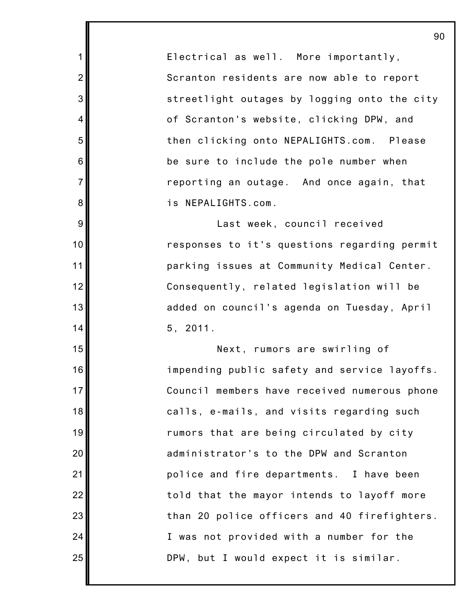Electrical as well. More importantly, Scranton residents are now able to report streetlight outages by logging onto the city of Scranton's website, clicking DPW, and then clicking onto NEPALIGHTS.com. Please be sure to include the pole number when reporting an outage. And once again, that is NEPALIGHTS.com.

1

2

3

4

5

6

7

8

9

10

11

12

13

14

15

16

17

18

19

20

21

22

23

24

25

Last week, council received responses to it's questions regarding permit parking issues at Community Medical Center. Consequently, related legislation will be added on council's agenda on Tuesday, April 5, 2011.

Next, rumors are swirling of impending public safety and service layoffs. Council members have received numerous phone calls, e-mails, and visits regarding such rumors that are being circulated by city administrator's to the DPW and Scranton police and fire departments. I have been told that the mayor intends to layoff more than 20 police officers and 40 firefighters. I was not provided with a number for the DPW, but I would expect it is similar.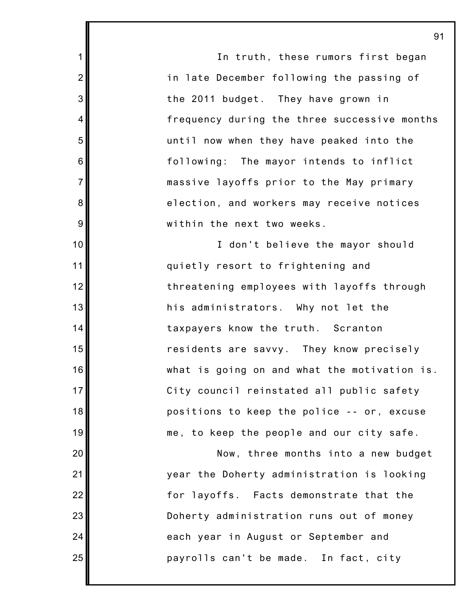In truth, these rumors first began in late December following the passing of the 2011 budget. They have grown in frequency during the three successive months until now when they have peaked into the following: The mayor intends to inflict massive layoffs prior to the May primary election, and workers may receive notices within the next two weeks. I don't believe the mayor should quietly resort to frightening and threatening employees with layoffs through his administrators. Why not let the taxpayers know the truth. Scranton residents are savvy. They know precisely what is going on and what the motivation is. City council reinstated all public safety positions to keep the police -- or, excuse me, to keep the people and our city safe.

1

2

3

4

5

6

7

8

9

10

11

12

13

14

15

16

17

18

19

20

21

22

23

24

25

Now, three months into a new budget year the Doherty administration is looking for layoffs. Facts demonstrate that the Doherty administration runs out of money each year in August or September and payrolls can't be made. In fact, city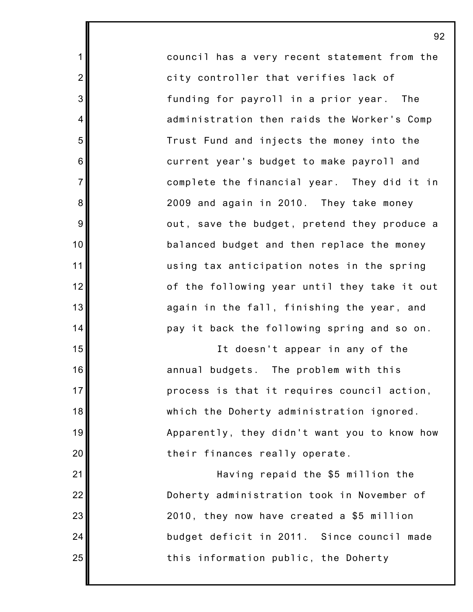council has a very recent statement from the city controller that verifies lack of funding for payroll in a prior year. The administration then raids the Worker's Comp Trust Fund and injects the money into the current year's budget to make payroll and complete the financial year. They did it in 2009 and again in 2010. They take money out, save the budget, pretend they produce a balanced budget and then replace the money using tax anticipation notes in the spring of the following year until they take it out again in the fall, finishing the year, and pay it back the following spring and so on.

1

2

3

4

5

6

7

8

9

10

11

12

13

14

15

16

17

18

19

20

21

22

23

24

25

It doesn't appear in any of the annual budgets. The problem with this process is that it requires council action, which the Doherty administration ignored. Apparently, they didn't want you to know how their finances really operate.

Having repaid the \$5 million the Doherty administration took in November of 2010, they now have created a \$5 million budget deficit in 2011. Since council made this information public, the Doherty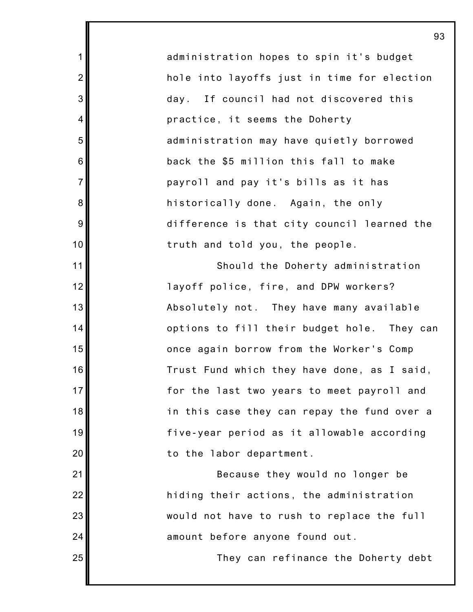administration hopes to spin it's budget hole into layoffs just in time for election day. If council had not discovered this practice, it seems the Doherty administration may have quietly borrowed back the \$5 million this fall to make payroll and pay it's bills as it has historically done. Again, the only difference is that city council learned the truth and told you, the people.

1

2

3

4

5

6

7

8

9

10

11

12

13

14

15

16

17

18

19

20

21

22

23

24

25

Should the Doherty administration layoff police, fire, and DPW workers? Absolutely not. They have many available options to fill their budget hole. They can once again borrow from the Worker's Comp Trust Fund which they have done, as I said, for the last two years to meet payroll and in this case they can repay the fund over a five-year period as it allowable according to the labor department.

Because they would no longer be hiding their actions, the administration would not have to rush to replace the full amount before anyone found out.

They can refinance the Doherty debt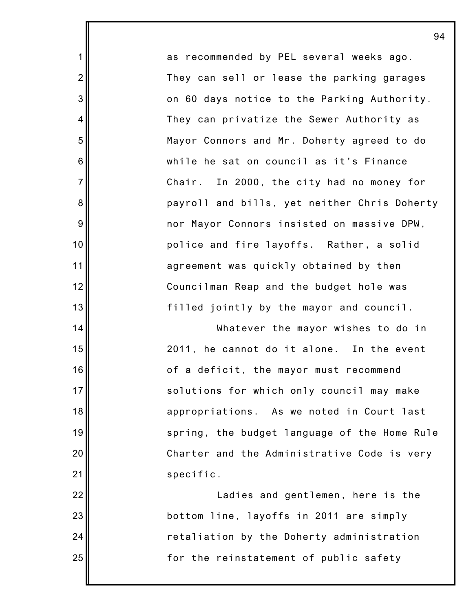as recommended by PEL several weeks ago. They can sell or lease the parking garages on 60 days notice to the Parking Authority. They can privatize the Sewer Authority as Mayor Connors and Mr. Doherty agreed to do while he sat on council as it's Finance Chair. In 2000, the city had no money for payroll and bills, yet neither Chris Doherty nor Mayor Connors insisted on massive DPW, police and fire layoffs. Rather, a solid agreement was quickly obtained by then Councilman Reap and the budget hole was filled jointly by the mayor and council.

1

2

3

4

5

6

7

8

9

10

11

12

13

14

15

16

17

18

19

20

21

22

23

24

25

Whatever the mayor wishes to do in 2011, he cannot do it alone. In the event of a deficit, the mayor must recommend solutions for which only council may make appropriations. As we noted in Court last spring, the budget language of the Home Rule Charter and the Administrative Code is very specific.

Ladies and gentlemen, here is the bottom line, layoffs in 2011 are simply retaliation by the Doherty administration for the reinstatement of public safety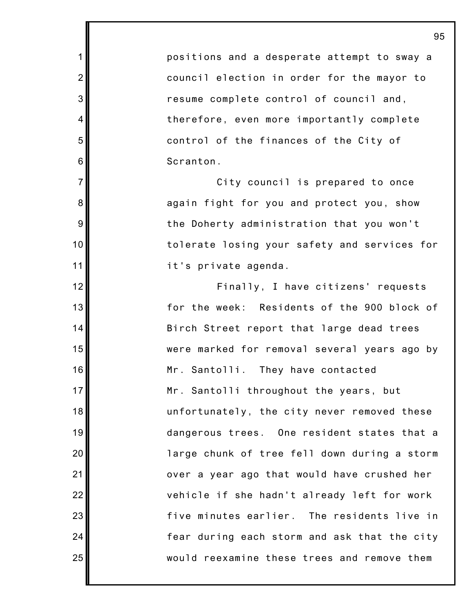positions and a desperate attempt to sway a council election in order for the mayor to resume complete control of council and, therefore, even more importantly complete control of the finances of the City of Scranton.

1

2

3

4

5

6

7

8

9

10

11

12

13

14

15

16

17

18

19

20

21

22

23

24

25

City council is prepared to once again fight for you and protect you, show the Doherty administration that you won't tolerate losing your safety and services for it's private agenda.

Finally, I have citizens' requests for the week: Residents of the 900 block of Birch Street report that large dead trees were marked for removal several years ago by Mr. Santolli. They have contacted Mr. Santolli throughout the years, but unfortunately, the city never removed these dangerous trees. One resident states that a large chunk of tree fell down during a storm over a year ago that would have crushed her vehicle if she hadn't already left for work five minutes earlier. The residents live in fear during each storm and ask that the city would reexamine these trees and remove them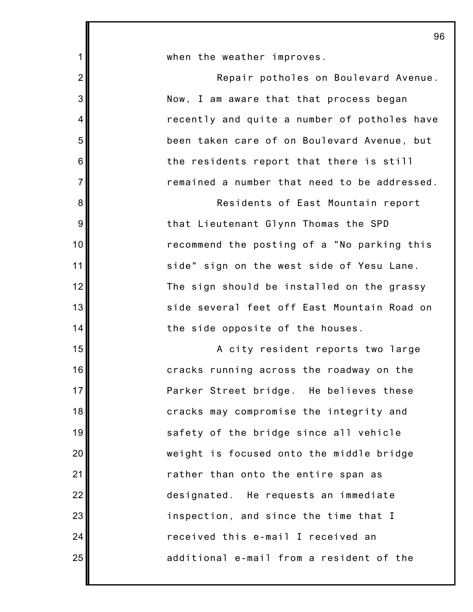| 1              | when the weather improves.                   |
|----------------|----------------------------------------------|
| $\overline{2}$ | Repair potholes on Boulevard Avenue.         |
| 3              | Now, I am aware that that process began      |
| 4              | recently and quite a number of potholes have |
| 5              | been taken care of on Boulevard Avenue, but  |
| 6              | the residents report that there is still     |
| $\overline{7}$ | remained a number that need to be addressed. |
| 8              | Residents of East Mountain report            |
| 9              | that Lieutenant Glynn Thomas the SPD         |
| 10             | recommend the posting of a "No parking this  |
| 11             | side" sign on the west side of Yesu Lane.    |
| 12             | The sign should be installed on the grassy   |
| 13             | side several feet off East Mountain Road on  |
| 14             | the side opposite of the houses.             |
| 15             | A city resident reports two large            |
| 16             | cracks running across the roadway on the     |
| 17             | Parker Street bridge. He believes these      |
| 18             | cracks may compromise the integrity and      |
| 19             | safety of the bridge since all vehicle       |
| 20             | weight is focused onto the middle bridge     |
| 21             | rather than onto the entire span as          |
| 22             | designated. He requests an immediate         |
| 23             | inspection, and since the time that I        |
| 24             | received this e-mail I received an           |
| 25             | additional e-mail from a resident of the     |
|                |                                              |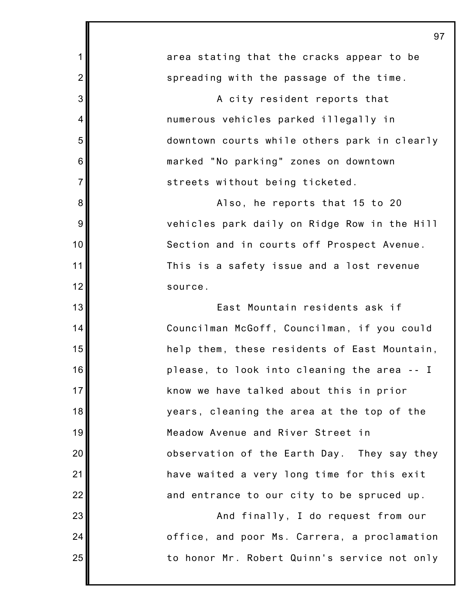| 1               | area stating that the cracks appear to be    |
|-----------------|----------------------------------------------|
| $\overline{2}$  | spreading with the passage of the time.      |
| 3               | A city resident reports that                 |
| 4               | numerous vehicles parked illegally in        |
| 5               | downtown courts while others park in clearly |
| 6               | marked "No parking" zones on downtown        |
| $\overline{7}$  | streets without being ticketed.              |
| 8               | Also, he reports that 15 to 20               |
| 9               | vehicles park daily on Ridge Row in the Hill |
| 10              | Section and in courts off Prospect Avenue.   |
| 11              | This is a safety issue and a lost revenue    |
| 12              | source.                                      |
| 13              | East Mountain residents ask if               |
| 14              | Councilman McGoff, Councilman, if you could  |
| 15              | help them, these residents of East Mountain, |
| 16              | please, to look into cleaning the area -- I  |
| 17 <sup>1</sup> | know we have talked about this in prior      |
| 18              | years, cleaning the area at the top of the   |
| 19              | Meadow Avenue and River Street in            |
| 20              | observation of the Earth Day. They say they  |
| 21              | have waited a very long time for this exit   |
| 22              | and entrance to our city to be spruced up.   |
| 23              | And finally, I do request from our           |
| 24              | office, and poor Ms. Carrera, a proclamation |
| 25              | to honor Mr. Robert Quinn's service not only |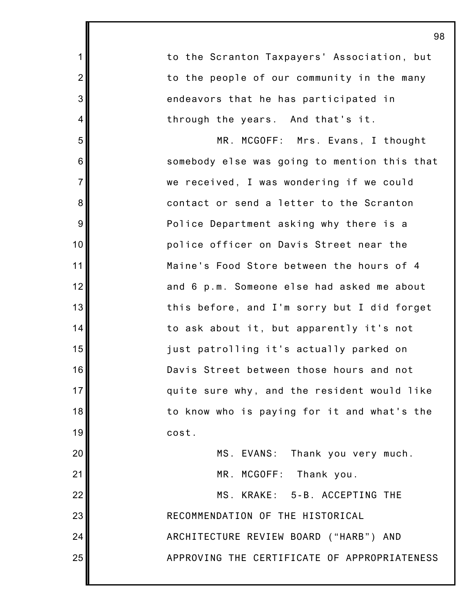to the Scranton Taxpayers' Association, but to the people of our community in the many endeavors that he has participated in through the years. And that's it. MR. MCGOFF: Mrs. Evans, I thought somebody else was going to mention this that we received, I was wondering if we could contact or send a letter to the Scranton Police Department asking why there is a police officer on Davis Street near the Maine's Food Store between the hours of 4 and 6 p.m. Someone else had asked me about this before, and I'm sorry but I did forget to ask about it, but apparently it's not just patrolling it's actually parked on Davis Street between those hours and not quite sure why, and the resident would like to know who is paying for it and what's the cost. MS. EVANS: Thank you very much. MR. MCGOFF: Thank you. MS. KRAKE: 5-B. ACCEPTING THE

1

2

3

4

5

6

7

8

9

10

11

12

13

14

15

16

17

18

19

20

21

22

23

24

25

RECOMMENDATION OF THE HISTORICAL

ARCHITECTURE REVIEW BOARD ("HARB") AND APPROVING THE CERTIFICATE OF APPROPRIATENESS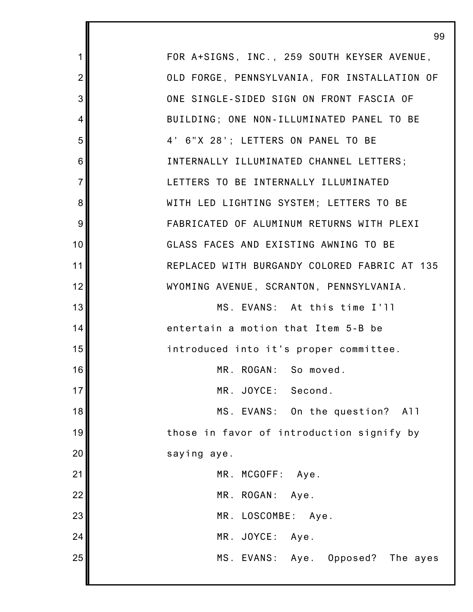1 2 3 4 5 6 7 8 9 10 11 12 13 14 15 16 17 18 19 20 21 22 23 24 25 FOR A+SIGNS, INC., 259 SOUTH KEYSER AVENUE, OLD FORGE, PENNSYLVANIA, FOR INSTALLATION OF ONE SINGLE-SIDED SIGN ON FRONT FASCIA OF BUILDING; ONE NON-ILLUMINATED PANEL TO BE 4' 6"X 28'; LETTERS ON PANEL TO BE INTERNALLY ILLUMINATED CHANNEL LETTERS; LETTERS TO BE INTERNALLY ILLUMINATED WITH LED LIGHTING SYSTEM; LETTERS TO BE FABRICATED OF ALUMINUM RETURNS WITH PLEXI GLASS FACES AND EXISTING AWNING TO BE REPLACED WITH BURGANDY COLORED FABRIC AT 135 WYOMING AVENUE, SCRANTON, PENNSYLVANIA. MS. EVANS: At this time I'll entertain a motion that Item 5-B be introduced into it's proper committee. MR. ROGAN: So moved. MR. JOYCE: Second. MS. EVANS: On the question? All those in favor of introduction signify by saying aye. MR. MCGOFF: Aye. MR. ROGAN: Aye. MR. LOSCOMBE: Aye. MR. JOYCE: Aye. MS. EVANS: Aye. Opposed? The ayes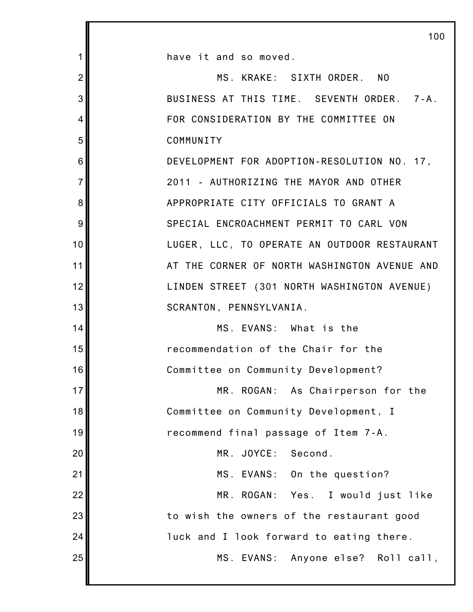|                | 100                                          |
|----------------|----------------------------------------------|
| 1              | have it and so moved.                        |
| $\overline{2}$ | MS. KRAKE: SIXTH ORDER. NO                   |
| 3              | BUSINESS AT THIS TIME. SEVENTH ORDER. 7-A.   |
| 4              | FOR CONSIDERATION BY THE COMMITTEE ON        |
| 5              | COMMUNITY                                    |
| 6              | DEVELOPMENT FOR ADOPTION-RESOLUTION NO. 17,  |
| $\overline{7}$ | 2011 - AUTHORIZING THE MAYOR AND OTHER       |
| 8              | APPROPRIATE CITY OFFICIALS TO GRANT A        |
| 9              | SPECIAL ENCROACHMENT PERMIT TO CARL VON      |
| 10             | LUGER, LLC, TO OPERATE AN OUTDOOR RESTAURANT |
| 11             | AT THE CORNER OF NORTH WASHINGTON AVENUE AND |
| 12             | LINDEN STREET (301 NORTH WASHINGTON AVENUE)  |
| 13             | SCRANTON, PENNSYLVANIA.                      |
| 14             | MS. EVANS: What is the                       |
| 15             | recommendation of the Chair for the          |
| 16             | Committee on Community Development?          |
| 17             | MR. ROGAN: As Chairperson for the            |
| 18             | Committee on Community Development, I        |
| 19             | recommend final passage of Item 7-A.         |
| 20             | MR. JOYCE:<br>Second.                        |
| 21             | MS. EVANS: On the question?                  |
| 22             | MR. ROGAN: Yes. I would just like            |
| 23             | to wish the owners of the restaurant good    |
| 24             | luck and I look forward to eating there.     |
| 25             | MS. EVANS: Anyone else? Roll call,           |
|                |                                              |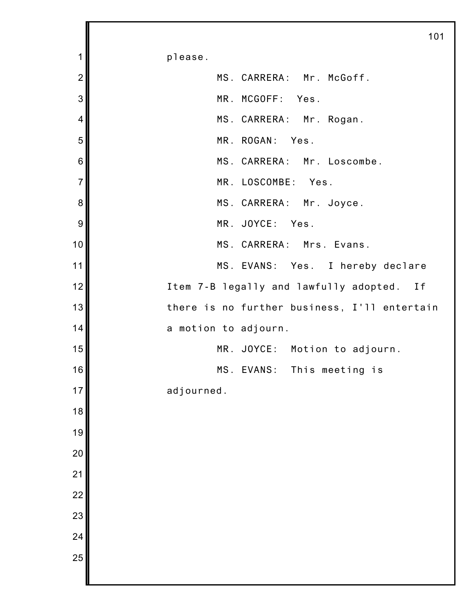please. MS. CARRERA: Mr. McGoff. MR. MCGOFF: Yes. MS. CARRERA: Mr. Rogan. MR. ROGAN: Yes. MS. CARRERA: Mr. Loscombe. MR. LOSCOMBE: Yes. MS. CARRERA: Mr. Joyce. MR. JOYCE: Yes. MS. CARRERA: Mrs. Evans. MS. EVANS: Yes. I hereby declare Item 7-B legally and lawfully adopted. If there is no further business, I'll entertain a motion to adjourn. MR. JOYCE: Motion to adjourn. MS. EVANS: This meeting is adjourned.